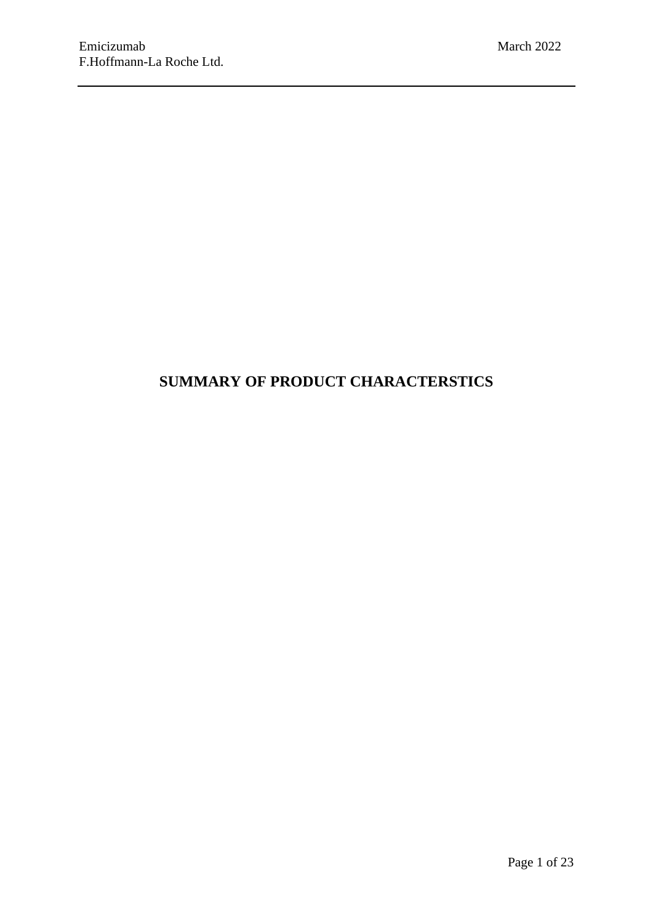# **SUMMARY OF PRODUCT CHARACTERSTICS**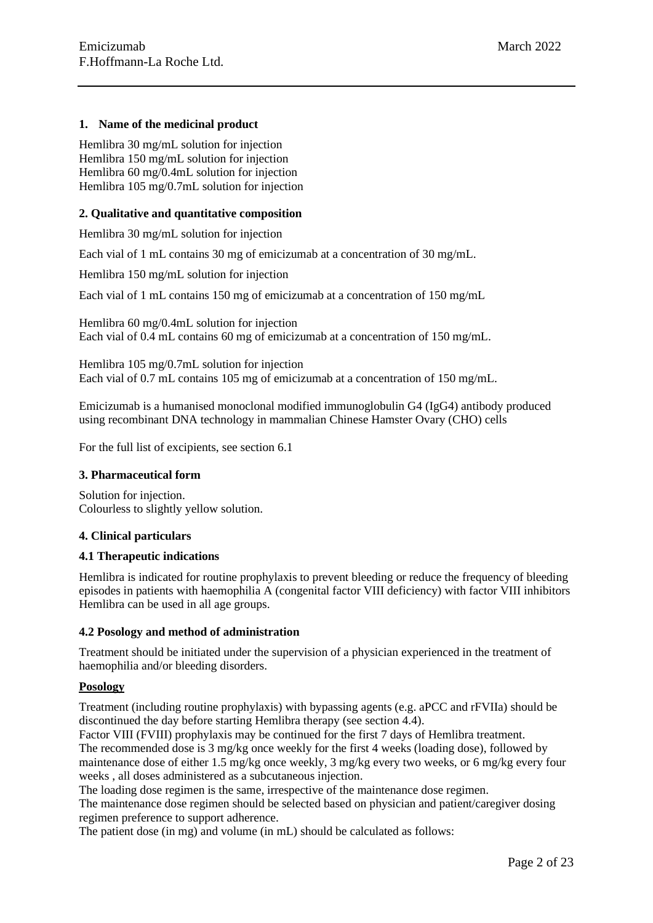### **1. Name of the medicinal product**

Hemlibra 30 mg/mL solution for injection Hemlibra 150 mg/mL solution for injection Hemlibra 60 mg/0.4mL solution for injection Hemlibra 105 mg/0.7mL solution for injection

### **2. Qualitative and quantitative composition**

Hemlibra 30 mg/mL solution for injection

Each vial of 1 mL contains 30 mg of emicizumab at a concentration of 30 mg/mL.

Hemlibra 150 mg/mL solution for injection

Each vial of 1 mL contains 150 mg of emicizumab at a concentration of 150 mg/mL

Hemlibra 60 mg/0.4mL solution for injection Each vial of 0.4 mL contains 60 mg of emicizumab at a concentration of 150 mg/mL.

Hemlibra 105 mg/0.7mL solution for injection Each vial of 0.7 mL contains 105 mg of emicizumab at a concentration of 150 mg/mL.

Emicizumab is a humanised monoclonal modified immunoglobulin G4 (IgG4) antibody produced using recombinant DNA technology in mammalian Chinese Hamster Ovary (CHO) cells

For the full list of excipients, see section 6.1

### **3. Pharmaceutical form**

Solution for injection. Colourless to slightly yellow solution.

### **4. Clinical particulars**

### **4.1 Therapeutic indications**

Hemlibra is indicated for routine prophylaxis to prevent bleeding or reduce the frequency of bleeding episodes in patients with haemophilia A (congenital factor VIII deficiency) with factor VIII inhibitors Hemlibra can be used in all age groups.

### **4.2 Posology and method of administration**

Treatment should be initiated under the supervision of a physician experienced in the treatment of haemophilia and/or bleeding disorders.

### **Posology**

Treatment (including routine prophylaxis) with bypassing agents (e.g. aPCC and rFVIIa) should be discontinued the day before starting Hemlibra therapy (see section 4.4).

Factor VIII (FVIII) prophylaxis may be continued for the first 7 days of Hemlibra treatment. The recommended dose is 3 mg/kg once weekly for the first 4 weeks (loading dose), followed by maintenance dose of either 1.5 mg/kg once weekly, 3 mg/kg every two weeks, or 6 mg/kg every four weeks , all doses administered as a subcutaneous injection.

The loading dose regimen is the same, irrespective of the maintenance dose regimen.

The maintenance dose regimen should be selected based on physician and patient/caregiver dosing regimen preference to support adherence.

The patient dose (in mg) and volume (in mL) should be calculated as follows: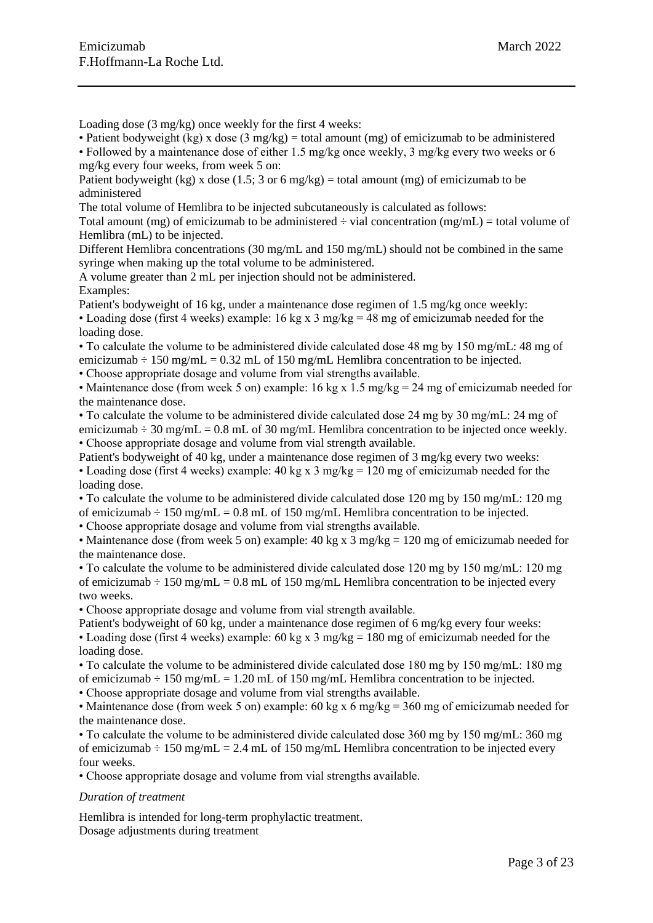Loading dose (3 mg/kg) once weekly for the first 4 weeks:

• Patient bodyweight (kg) x dose (3 mg/kg) = total amount (mg) of emicizumab to be administered • Followed by a maintenance dose of either 1.5 mg/kg once weekly, 3 mg/kg every two weeks or 6

mg/kg every four weeks, from week 5 on:

Patient bodyweight (kg) x dose (1.5; 3 or 6 mg/kg) = total amount (mg) of emicizumab to be administered

The total volume of Hemlibra to be injected subcutaneously is calculated as follows:

Total amount (mg) of emicizumab to be administered  $\div$  vial concentration (mg/mL) = total volume of Hemlibra (mL) to be injected.

Different Hemlibra concentrations (30 mg/mL and 150 mg/mL) should not be combined in the same syringe when making up the total volume to be administered.

A volume greater than 2 mL per injection should not be administered. Examples:

Patient's bodyweight of 16 kg, under a maintenance dose regimen of 1.5 mg/kg once weekly:

• Loading dose (first 4 weeks) example: 16 kg x 3 mg/kg = 48 mg of emicizumab needed for the loading dose.

• To calculate the volume to be administered divide calculated dose 48 mg by 150 mg/mL: 48 mg of emicizumab  $\div$  150 mg/mL = 0.32 mL of 150 mg/mL Hemlibra concentration to be injected.

• Choose appropriate dosage and volume from vial strengths available.

• Maintenance dose (from week 5 on) example: 16 kg x 1.5 mg/kg = 24 mg of emicizumab needed for the maintenance dose.

• To calculate the volume to be administered divide calculated dose 24 mg by 30 mg/mL: 24 mg of emicizumab  $\div$  30 mg/mL = 0.8 mL of 30 mg/mL Hemlibra concentration to be injected once weekly. • Choose appropriate dosage and volume from vial strength available.

Patient's bodyweight of 40 kg, under a maintenance dose regimen of 3 mg/kg every two weeks: • Loading dose (first 4 weeks) example: 40 kg x 3 mg/kg = 120 mg of emicizumab needed for the loading dose.

• To calculate the volume to be administered divide calculated dose 120 mg by 150 mg/mL: 120 mg of emicizumab  $\div$  150 mg/mL = 0.8 mL of 150 mg/mL Hemlibra concentration to be injected.

• Choose appropriate dosage and volume from vial strengths available.

• Maintenance dose (from week 5 on) example: 40 kg x 3 mg/kg = 120 mg of emicizumab needed for the maintenance dose.

• To calculate the volume to be administered divide calculated dose 120 mg by 150 mg/mL: 120 mg of emicizumab  $\div$  150 mg/mL = 0.8 mL of 150 mg/mL Hemlibra concentration to be injected every two weeks.

• Choose appropriate dosage and volume from vial strength available.

Patient's bodyweight of 60 kg, under a maintenance dose regimen of 6 mg/kg every four weeks: • Loading dose (first 4 weeks) example: 60 kg x 3 mg/kg = 180 mg of emicizumab needed for the loading dose.

• To calculate the volume to be administered divide calculated dose 180 mg by 150 mg/mL: 180 mg of emicizumab  $\div$  150 mg/mL = 1.20 mL of 150 mg/mL Hemlibra concentration to be injected.

• Choose appropriate dosage and volume from vial strengths available.

• Maintenance dose (from week 5 on) example: 60 kg x 6 mg/kg = 360 mg of emicizumab needed for the maintenance dose.

• To calculate the volume to be administered divide calculated dose 360 mg by 150 mg/mL: 360 mg of emicizumab  $\div$  150 mg/mL = 2.4 mL of 150 mg/mL Hemlibra concentration to be injected every four weeks.

• Choose appropriate dosage and volume from vial strengths available.

### *Duration of treatment*

Hemlibra is intended for long-term prophylactic treatment. Dosage adjustments during treatment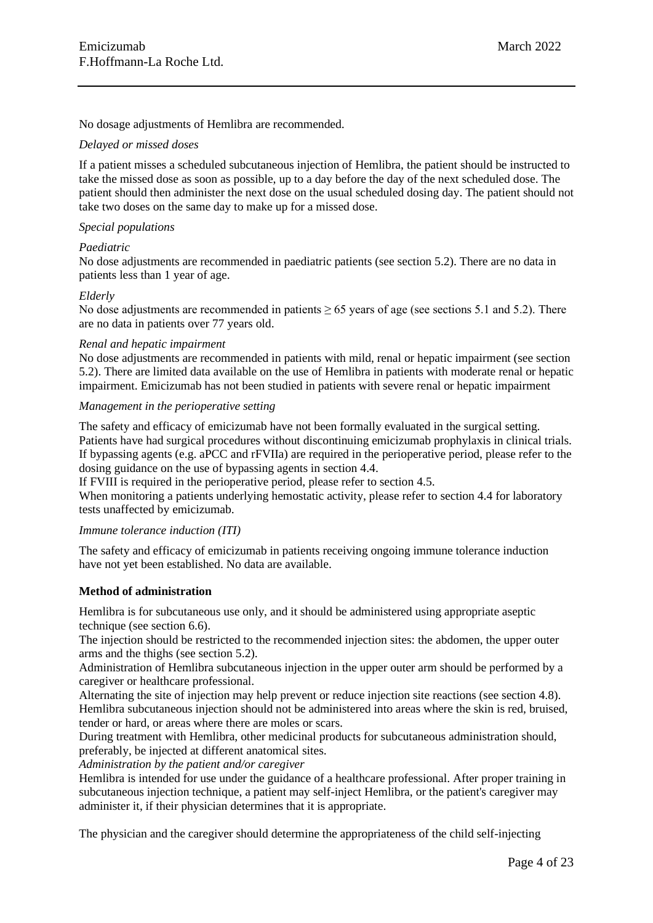No dosage adjustments of Hemlibra are recommended.

#### *Delayed or missed doses*

If a patient misses a scheduled subcutaneous injection of Hemlibra, the patient should be instructed to take the missed dose as soon as possible, up to a day before the day of the next scheduled dose. The patient should then administer the next dose on the usual scheduled dosing day. The patient should not take two doses on the same day to make up for a missed dose.

### *Special populations*

#### *Paediatric*

No dose adjustments are recommended in paediatric patients (see section 5.2). There are no data in patients less than 1 year of age.

#### *Elderly*

No dose adjustments are recommended in patients  $\geq 65$  years of age (see sections 5.1 and 5.2). There are no data in patients over 77 years old.

#### *Renal and hepatic impairment*

No dose adjustments are recommended in patients with mild, renal or hepatic impairment (see section 5.2). There are limited data available on the use of Hemlibra in patients with moderate renal or hepatic impairment. Emicizumab has not been studied in patients with severe renal or hepatic impairment

#### *Management in the perioperative setting*

The safety and efficacy of emicizumab have not been formally evaluated in the surgical setting. Patients have had surgical procedures without discontinuing emicizumab prophylaxis in clinical trials. If bypassing agents (e.g. aPCC and rFVIIa) are required in the perioperative period, please refer to the dosing guidance on the use of bypassing agents in section 4.4.

If FVIII is required in the perioperative period, please refer to section 4.5.

When monitoring a patients underlying hemostatic activity, please refer to section 4.4 for laboratory tests unaffected by emicizumab.

### *Immune tolerance induction (ITI)*

The safety and efficacy of emicizumab in patients receiving ongoing immune tolerance induction have not yet been established. No data are available.

### **Method of administration**

Hemlibra is for subcutaneous use only, and it should be administered using appropriate aseptic technique (see section 6.6).

The injection should be restricted to the recommended injection sites: the abdomen, the upper outer arms and the thighs (see section 5.2).

Administration of Hemlibra subcutaneous injection in the upper outer arm should be performed by a caregiver or healthcare professional.

Alternating the site of injection may help prevent or reduce injection site reactions (see section 4.8). Hemlibra subcutaneous injection should not be administered into areas where the skin is red, bruised, tender or hard, or areas where there are moles or scars.

During treatment with Hemlibra, other medicinal products for subcutaneous administration should, preferably, be injected at different anatomical sites.

*Administration by the patient and/or caregiver*

Hemlibra is intended for use under the guidance of a healthcare professional. After proper training in subcutaneous injection technique, a patient may self-inject Hemlibra, or the patient's caregiver may administer it, if their physician determines that it is appropriate.

The physician and the caregiver should determine the appropriateness of the child self-injecting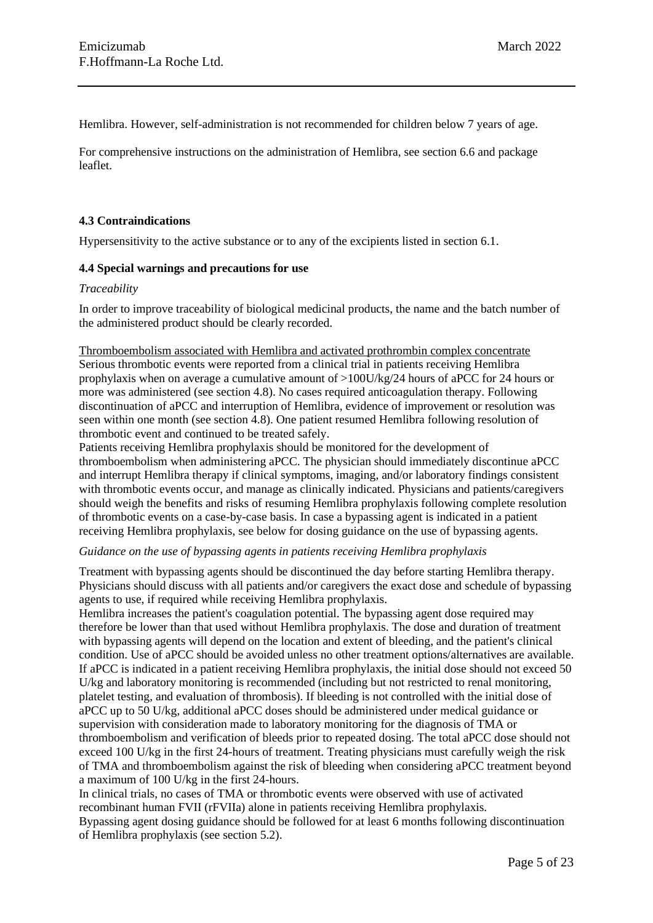Hemlibra. However, self-administration is not recommended for children below 7 years of age.

For comprehensive instructions on the administration of Hemlibra, see section 6.6 and package leaflet.

# **4.3 Contraindications**

Hypersensitivity to the active substance or to any of the excipients listed in section 6.1.

### **4.4 Special warnings and precautions for use**

### *Traceability*

In order to improve traceability of biological medicinal products, the name and the batch number of the administered product should be clearly recorded.

Thromboembolism associated with Hemlibra and activated prothrombin complex concentrate Serious thrombotic events were reported from a clinical trial in patients receiving Hemlibra prophylaxis when on average a cumulative amount of >100U/kg/24 hours of aPCC for 24 hours or more was administered (see section 4.8). No cases required anticoagulation therapy. Following discontinuation of aPCC and interruption of Hemlibra, evidence of improvement or resolution was seen within one month (see section 4.8). One patient resumed Hemlibra following resolution of thrombotic event and continued to be treated safely.

Patients receiving Hemlibra prophylaxis should be monitored for the development of thromboembolism when administering aPCC. The physician should immediately discontinue aPCC and interrupt Hemlibra therapy if clinical symptoms, imaging, and/or laboratory findings consistent with thrombotic events occur, and manage as clinically indicated. Physicians and patients/caregivers should weigh the benefits and risks of resuming Hemlibra prophylaxis following complete resolution of thrombotic events on a case-by-case basis. In case a bypassing agent is indicated in a patient receiving Hemlibra prophylaxis, see below for dosing guidance on the use of bypassing agents.

### *Guidance on the use of bypassing agents in patients receiving Hemlibra prophylaxis*

Treatment with bypassing agents should be discontinued the day before starting Hemlibra therapy. Physicians should discuss with all patients and/or caregivers the exact dose and schedule of bypassing agents to use, if required while receiving Hemlibra prophylaxis.

Hemlibra increases the patient's coagulation potential. The bypassing agent dose required may therefore be lower than that used without Hemlibra prophylaxis. The dose and duration of treatment with bypassing agents will depend on the location and extent of bleeding, and the patient's clinical condition. Use of aPCC should be avoided unless no other treatment options/alternatives are available. If aPCC is indicated in a patient receiving Hemlibra prophylaxis, the initial dose should not exceed 50 U/kg and laboratory monitoring is recommended (including but not restricted to renal monitoring, platelet testing, and evaluation of thrombosis). If bleeding is not controlled with the initial dose of aPCC up to 50 U/kg, additional aPCC doses should be administered under medical guidance or supervision with consideration made to laboratory monitoring for the diagnosis of TMA or thromboembolism and verification of bleeds prior to repeated dosing. The total aPCC dose should not exceed 100 U/kg in the first 24-hours of treatment. Treating physicians must carefully weigh the risk of TMA and thromboembolism against the risk of bleeding when considering aPCC treatment beyond a maximum of 100 U/kg in the first 24-hours.

In clinical trials, no cases of TMA or thrombotic events were observed with use of activated recombinant human FVII (rFVIIa) alone in patients receiving Hemlibra prophylaxis.

Bypassing agent dosing guidance should be followed for at least 6 months following discontinuation of Hemlibra prophylaxis (see section 5.2).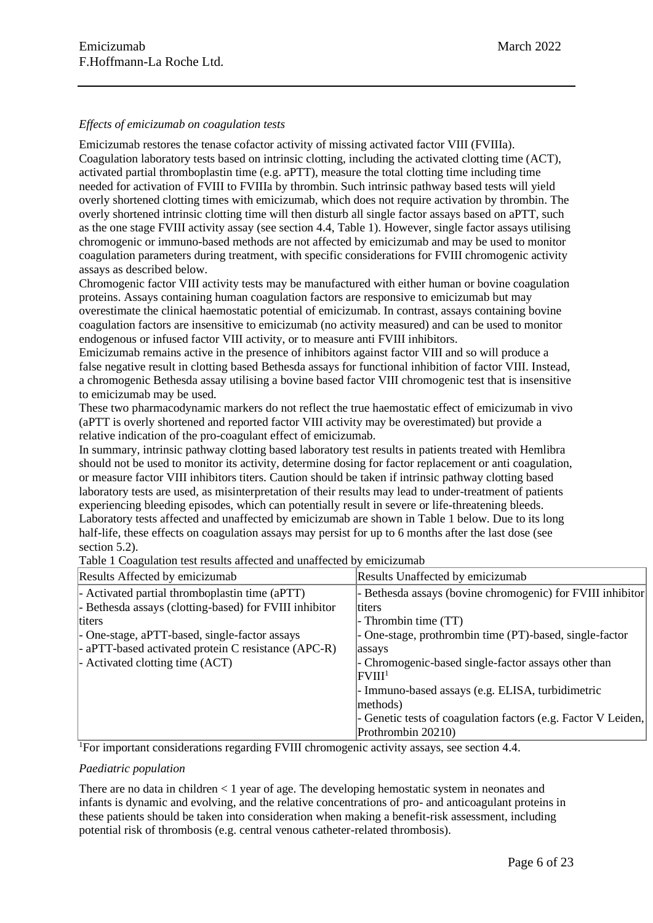### *Effects of emicizumab on coagulation tests*

Emicizumab restores the tenase cofactor activity of missing activated factor VIII (FVIIIa). Coagulation laboratory tests based on intrinsic clotting, including the activated clotting time (ACT), activated partial thromboplastin time (e.g. aPTT), measure the total clotting time including time needed for activation of FVIII to FVIIIa by thrombin. Such intrinsic pathway based tests will yield overly shortened clotting times with emicizumab, which does not require activation by thrombin. The overly shortened intrinsic clotting time will then disturb all single factor assays based on aPTT, such as the one stage FVIII activity assay (see section 4.4, Table 1). However, single factor assays utilising chromogenic or immuno-based methods are not affected by emicizumab and may be used to monitor coagulation parameters during treatment, with specific considerations for FVIII chromogenic activity assays as described below.

Chromogenic factor VIII activity tests may be manufactured with either human or bovine coagulation proteins. Assays containing human coagulation factors are responsive to emicizumab but may overestimate the clinical haemostatic potential of emicizumab. In contrast, assays containing bovine coagulation factors are insensitive to emicizumab (no activity measured) and can be used to monitor endogenous or infused factor VIII activity, or to measure anti FVIII inhibitors.

Emicizumab remains active in the presence of inhibitors against factor VIII and so will produce a false negative result in clotting based Bethesda assays for functional inhibition of factor VIII. Instead, a chromogenic Bethesda assay utilising a bovine based factor VIII chromogenic test that is insensitive to emicizumab may be used.

These two pharmacodynamic markers do not reflect the true haemostatic effect of emicizumab in vivo (aPTT is overly shortened and reported factor VIII activity may be overestimated) but provide a relative indication of the pro-coagulant effect of emicizumab.

In summary, intrinsic pathway clotting based laboratory test results in patients treated with Hemlibra should not be used to monitor its activity, determine dosing for factor replacement or anti coagulation, or measure factor VIII inhibitors titers. Caution should be taken if intrinsic pathway clotting based laboratory tests are used, as misinterpretation of their results may lead to under-treatment of patients experiencing bleeding episodes, which can potentially result in severe or life-threatening bleeds. Laboratory tests affected and unaffected by emicizumab are shown in Table 1 below. Due to its long half-life, these effects on coagulation assays may persist for up to 6 months after the last dose (see section 5.2).

Table 1 Coagulation test results affected and unaffected by emicizumab

| Results Affected by emicizumab                         | Results Unaffected by emicizumab                              |
|--------------------------------------------------------|---------------------------------------------------------------|
| - Activated partial thromboplastin time (aPTT)         | - Bethesda assays (bovine chromogenic) for FVIII inhibitor    |
| - Bethesda assays (clotting-based) for FVIII inhibitor | titers                                                        |
| titers                                                 | - Thrombin time (TT)                                          |
| - One-stage, aPTT-based, single-factor assays          | - One-stage, prothrombin time (PT)-based, single-factor       |
| - aPTT-based activated protein C resistance (APC-R)    | assays                                                        |
| - Activated clotting time (ACT)                        | - Chromogenic-based single-factor assays other than           |
|                                                        | FVIII <sup>1</sup>                                            |
|                                                        | - Immuno-based assays (e.g. ELISA, turbidimetric              |
|                                                        | methods)                                                      |
|                                                        | - Genetic tests of coagulation factors (e.g. Factor V Leiden, |
|                                                        | Prothrombin 20210)                                            |

<sup>1</sup>For important considerations regarding FVIII chromogenic activity assays, see section 4.4.

### *Paediatric population*

There are no data in children < 1 year of age. The developing hemostatic system in neonates and infants is dynamic and evolving, and the relative concentrations of pro- and anticoagulant proteins in these patients should be taken into consideration when making a benefit-risk assessment, including potential risk of thrombosis (e.g. central venous catheter-related thrombosis).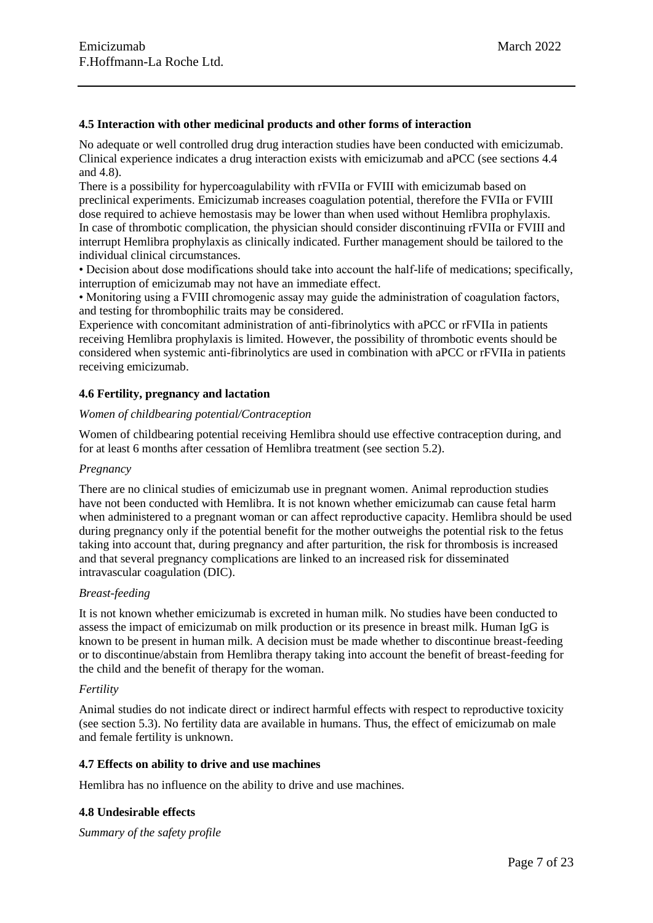### **4.5 Interaction with other medicinal products and other forms of interaction**

No adequate or well controlled drug drug interaction studies have been conducted with emicizumab. Clinical experience indicates a drug interaction exists with emicizumab and aPCC (see sections 4.4 and 4.8).

There is a possibility for hypercoagulability with rFVIIa or FVIII with emicizumab based on preclinical experiments. Emicizumab increases coagulation potential, therefore the FVIIa or FVIII dose required to achieve hemostasis may be lower than when used without Hemlibra prophylaxis. In case of thrombotic complication, the physician should consider discontinuing rFVIIa or FVIII and interrupt Hemlibra prophylaxis as clinically indicated. Further management should be tailored to the individual clinical circumstances.

• Decision about dose modifications should take into account the half-life of medications; specifically, interruption of emicizumab may not have an immediate effect.

• Monitoring using a FVIII chromogenic assay may guide the administration of coagulation factors, and testing for thrombophilic traits may be considered.

Experience with concomitant administration of anti-fibrinolytics with aPCC or rFVIIa in patients receiving Hemlibra prophylaxis is limited. However, the possibility of thrombotic events should be considered when systemic anti-fibrinolytics are used in combination with aPCC or rFVIIa in patients receiving emicizumab.

### **4.6 Fertility, pregnancy and lactation**

### *Women of childbearing potential/Contraception*

Women of childbearing potential receiving Hemlibra should use effective contraception during, and for at least 6 months after cessation of Hemlibra treatment (see section 5.2).

### *Pregnancy*

There are no clinical studies of emicizumab use in pregnant women. Animal reproduction studies have not been conducted with Hemlibra. It is not known whether emicizumab can cause fetal harm when administered to a pregnant woman or can affect reproductive capacity. Hemlibra should be used during pregnancy only if the potential benefit for the mother outweighs the potential risk to the fetus taking into account that, during pregnancy and after parturition, the risk for thrombosis is increased and that several pregnancy complications are linked to an increased risk for disseminated intravascular coagulation (DIC).

### *Breast-feeding*

It is not known whether emicizumab is excreted in human milk. No studies have been conducted to assess the impact of emicizumab on milk production or its presence in breast milk. Human IgG is known to be present in human milk. A decision must be made whether to discontinue breast-feeding or to discontinue/abstain from Hemlibra therapy taking into account the benefit of breast-feeding for the child and the benefit of therapy for the woman.

### *Fertility*

Animal studies do not indicate direct or indirect harmful effects with respect to reproductive toxicity (see section 5.3). No fertility data are available in humans. Thus, the effect of emicizumab on male and female fertility is unknown.

### **4.7 Effects on ability to drive and use machines**

Hemlibra has no influence on the ability to drive and use machines.

### **4.8 Undesirable effects**

*Summary of the safety profile*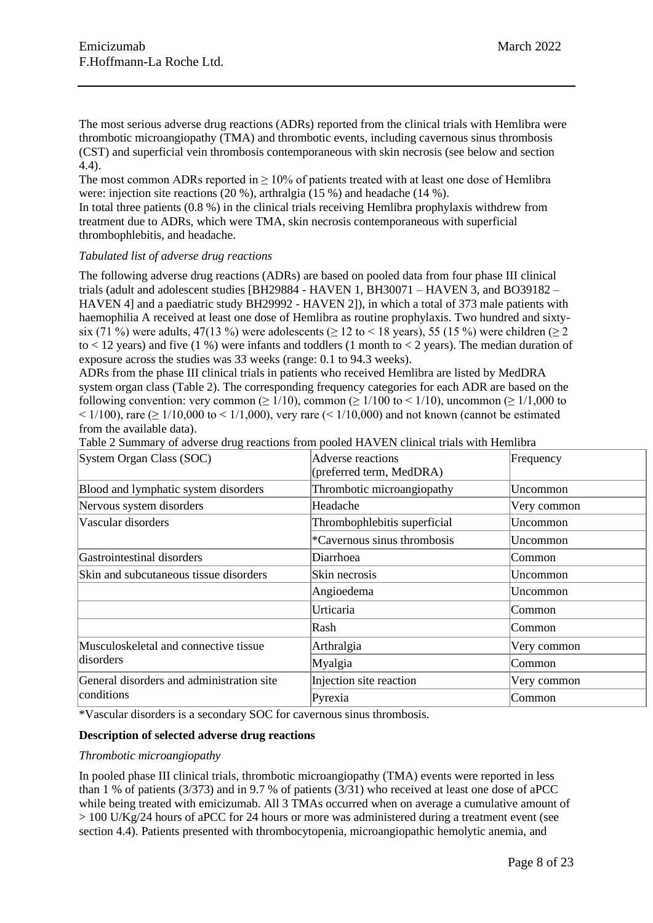The most serious adverse drug reactions (ADRs) reported from the clinical trials with Hemlibra were thrombotic microangiopathy (TMA) and thrombotic events, including cavernous sinus thrombosis (CST) and superficial vein thrombosis contemporaneous with skin necrosis (see below and section 4.4).

The most common ADRs reported in  $\geq 10\%$  of patients treated with at least one dose of Hemlibra were: injection site reactions (20 %), arthralgia (15 %) and headache (14 %).

In total three patients (0.8 %) in the clinical trials receiving Hemlibra prophylaxis withdrew from treatment due to ADRs, which were TMA, skin necrosis contemporaneous with superficial thrombophlebitis, and headache.

### *Tabulated list of adverse drug reactions*

The following adverse drug reactions (ADRs) are based on pooled data from four phase III clinical trials (adult and adolescent studies [BH29884 - HAVEN 1, BH30071 – HAVEN 3, and BO39182 – HAVEN 4] and a paediatric study BH29992 - HAVEN 2]), in which a total of 373 male patients with haemophilia A received at least one dose of Hemlibra as routine prophylaxis. Two hundred and sixtysix (71 %) were adults, 47(13 %) were adolescents ( $\geq$  12 to < 18 years), 55 (15 %) were children ( $\geq$  2 to  $<$  12 years) and five (1 %) were infants and toddlers (1 month to  $<$  2 years). The median duration of exposure across the studies was 33 weeks (range: 0.1 to 94.3 weeks).

ADRs from the phase III clinical trials in patients who received Hemlibra are listed by MedDRA system organ class (Table 2). The corresponding frequency categories for each ADR are based on the following convention: very common ( $\geq 1/10$ ), common ( $\geq 1/100$  to  $\leq 1/10$ ), uncommon ( $\geq 1/1,000$  to  $\leq$  1/100), rare ( $\geq$  1/10,000 to  $\leq$  1/1,000), very rare ( $\leq$  1/10,000) and not known (cannot be estimated from the available data).

| System Organ Class (SOC)                  | Adverse reactions<br>(preferred term, MedDRA) | Frequency   |
|-------------------------------------------|-----------------------------------------------|-------------|
| Blood and lymphatic system disorders      | Thrombotic microangiopathy                    | Uncommon    |
| Nervous system disorders                  | Headache                                      | Very common |
| Vascular disorders                        | Thrombophlebitis superficial                  | Uncommon    |
|                                           | *Cavernous sinus thrombosis                   | Uncommon    |
| Gastrointestinal disorders                | Diarrhoea                                     | Common      |
| Skin and subcutaneous tissue disorders    | Skin necrosis                                 | Uncommon    |
|                                           | Angioedema                                    | Uncommon    |
|                                           | Urticaria                                     | Common      |
|                                           | Rash                                          | Common      |
| Musculoskeletal and connective tissue     | Arthralgia                                    | Very common |
| disorders                                 | Myalgia                                       | Common      |
| General disorders and administration site | Injection site reaction                       | Very common |
| conditions                                | Pyrexia                                       | Common      |

Table 2 Summary of adverse drug reactions from pooled HAVEN clinical trials with Hemlibra

\*Vascular disorders is a secondary SOC for cavernous sinus thrombosis.

### **Description of selected adverse drug reactions**

### *Thrombotic microangiopathy*

In pooled phase III clinical trials, thrombotic microangiopathy (TMA) events were reported in less than 1 % of patients (3/373) and in 9.7 % of patients (3/31) who received at least one dose of aPCC while being treated with emicizumab. All 3 TMAs occurred when on average a cumulative amount of  $> 100$  U/Kg/24 hours of aPCC for 24 hours or more was administered during a treatment event (see section 4.4). Patients presented with thrombocytopenia, microangiopathic hemolytic anemia, and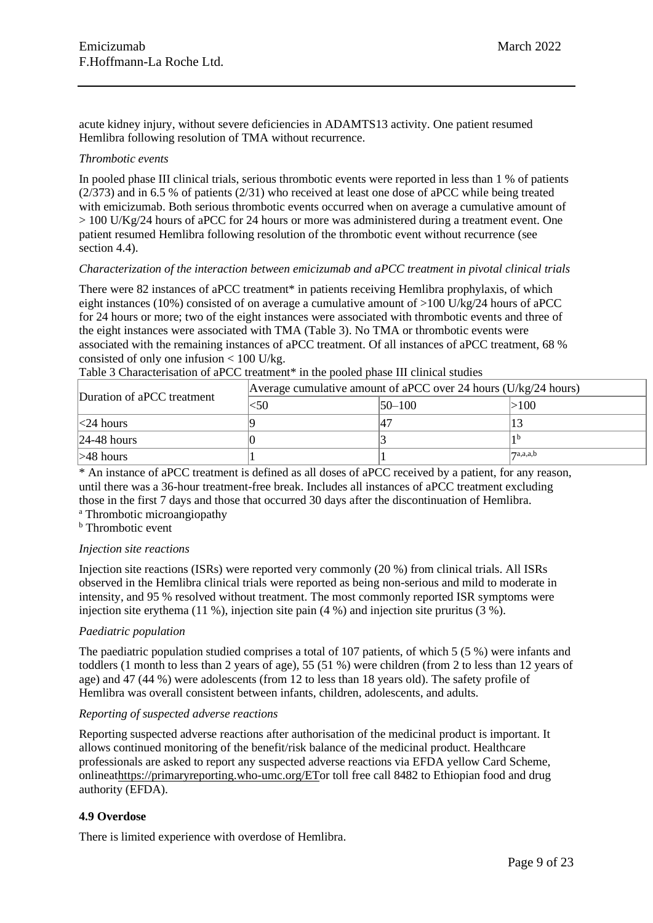acute kidney injury, without severe deficiencies in ADAMTS13 activity. One patient resumed Hemlibra following resolution of TMA without recurrence.

#### *Thrombotic events*

In pooled phase III clinical trials, serious thrombotic events were reported in less than 1 % of patients (2/373) and in 6.5 % of patients (2/31) who received at least one dose of aPCC while being treated with emicizumab. Both serious thrombotic events occurred when on average a cumulative amount of  $> 100$  U/Kg/24 hours of aPCC for 24 hours or more was administered during a treatment event. One patient resumed Hemlibra following resolution of the thrombotic event without recurrence (see section 4.4).

### *Characterization of the interaction between emicizumab and aPCC treatment in pivotal clinical trials*

There were 82 instances of aPCC treatment\* in patients receiving Hemlibra prophylaxis, of which eight instances (10%) consisted of on average a cumulative amount of >100 U/kg/24 hours of aPCC for 24 hours or more; two of the eight instances were associated with thrombotic events and three of the eight instances were associated with TMA (Table 3). No TMA or thrombotic events were associated with the remaining instances of aPCC treatment. Of all instances of aPCC treatment, 68 % consisted of only one infusion < 100 U/kg.

| Duration of aPCC treatment | Average cumulative amount of aPCC over 24 hours ( $U/kg/24$ hours) |              |                           |
|----------------------------|--------------------------------------------------------------------|--------------|---------------------------|
|                            | <50                                                                | $ 50 - 100 $ | >100                      |
| $\leq$ 24 hours            |                                                                    |              |                           |
| $ 24-48$ hours             |                                                                    |              |                           |
| $>48$ hours                |                                                                    |              | $ \mathcal{T}^{a,a,a,b} $ |

Table 3 Characterisation of aPCC treatment<sup>\*</sup> in the pooled phase III clinical studies

\* An instance of aPCC treatment is defined as all doses of aPCC received by a patient, for any reason, until there was a 36-hour treatment-free break. Includes all instances of aPCC treatment excluding those in the first 7 days and those that occurred 30 days after the discontinuation of Hemlibra. <sup>a</sup> Thrombotic microangiopathy

**b** Thrombotic event

# *Injection site reactions*

Injection site reactions (ISRs) were reported very commonly (20 %) from clinical trials. All ISRs observed in the Hemlibra clinical trials were reported as being non-serious and mild to moderate in intensity, and 95 % resolved without treatment. The most commonly reported ISR symptoms were injection site erythema (11 %), injection site pain (4 %) and injection site pruritus (3 %).

### *Paediatric population*

The paediatric population studied comprises a total of 107 patients, of which 5 (5 %) were infants and toddlers (1 month to less than 2 years of age), 55 (51 %) were children (from 2 to less than 12 years of age) and 47 (44 %) were adolescents (from 12 to less than 18 years old). The safety profile of Hemlibra was overall consistent between infants, children, adolescents, and adults.

### *Reporting of suspected adverse reactions*

Reporting suspected adverse reactions after authorisation of the medicinal product is important. It allows continued monitoring of the benefit/risk balance of the medicinal product. Healthcare professionals are asked to report any suspected adverse reactions via EFDA yellow Card Scheme, onlinea[thttps://primaryreporting.who-umc.org/ETo](https://primaryreporting.who-umc.org/ET)r toll free call 8482 to Ethiopian food and drug authority (EFDA).

### **4.9 Overdose**

There is limited experience with overdose of Hemlibra.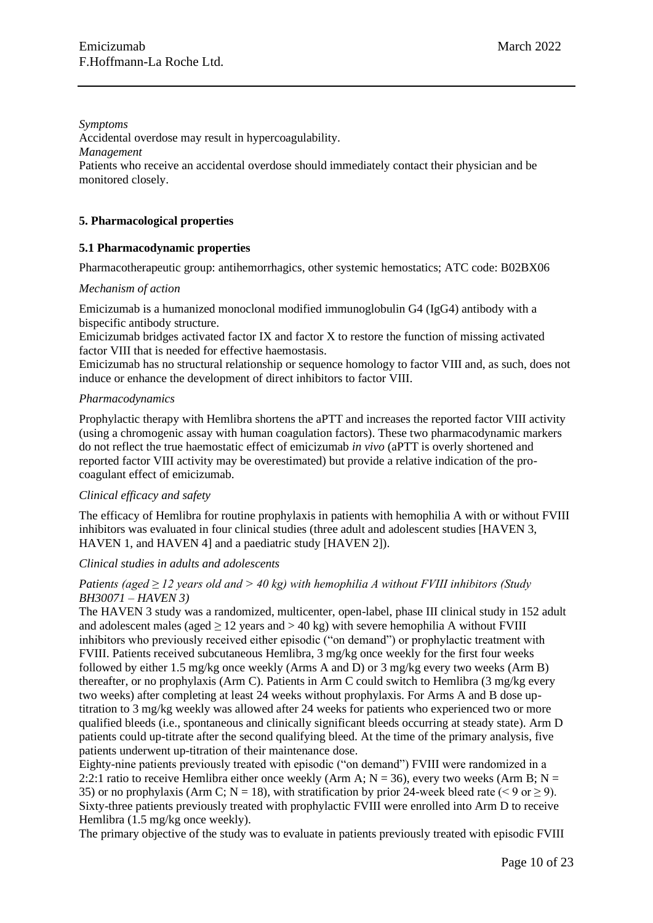*Symptoms* Accidental overdose may result in hypercoagulability. *Management* Patients who receive an accidental overdose should immediately contact their physician and be monitored closely.

### **5. Pharmacological properties**

### **5.1 Pharmacodynamic properties**

Pharmacotherapeutic group: antihemorrhagics, other systemic hemostatics; ATC code: B02BX06

#### *Mechanism of action*

Emicizumab is a humanized monoclonal modified immunoglobulin G4 (IgG4) antibody with a bispecific antibody structure.

Emicizumab bridges activated factor IX and factor X to restore the function of missing activated factor VIII that is needed for effective haemostasis.

Emicizumab has no structural relationship or sequence homology to factor VIII and, as such, does not induce or enhance the development of direct inhibitors to factor VIII.

#### *Pharmacodynamics*

Prophylactic therapy with Hemlibra shortens the aPTT and increases the reported factor VIII activity (using a chromogenic assay with human coagulation factors). These two pharmacodynamic markers do not reflect the true haemostatic effect of emicizumab *in vivo* (aPTT is overly shortened and reported factor VIII activity may be overestimated) but provide a relative indication of the procoagulant effect of emicizumab.

### *Clinical efficacy and safety*

The efficacy of Hemlibra for routine prophylaxis in patients with hemophilia A with or without FVIII inhibitors was evaluated in four clinical studies (three adult and adolescent studies [HAVEN 3, HAVEN 1, and HAVEN 4] and a paediatric study [HAVEN 2]).

### *Clinical studies in adults and adolescents*

### *Patients (aged ≥ 12 years old and > 40 kg) with hemophilia A without FVIII inhibitors (Study BH30071 – HAVEN 3)*

The HAVEN 3 study was a randomized, multicenter, open-label, phase III clinical study in 152 adult and adolescent males (aged  $\geq$  12 years and  $>$  40 kg) with severe hemophilia A without FVIII inhibitors who previously received either episodic ("on demand") or prophylactic treatment with FVIII. Patients received subcutaneous Hemlibra, 3 mg/kg once weekly for the first four weeks followed by either 1.5 mg/kg once weekly (Arms A and D) or 3 mg/kg every two weeks (Arm B) thereafter, or no prophylaxis (Arm C). Patients in Arm C could switch to Hemlibra (3 mg/kg every two weeks) after completing at least 24 weeks without prophylaxis. For Arms A and B dose uptitration to 3 mg/kg weekly was allowed after 24 weeks for patients who experienced two or more qualified bleeds (i.e., spontaneous and clinically significant bleeds occurring at steady state). Arm D patients could up-titrate after the second qualifying bleed. At the time of the primary analysis, five patients underwent up-titration of their maintenance dose.

Eighty-nine patients previously treated with episodic ("on demand") FVIII were randomized in a 2:2:1 ratio to receive Hemlibra either once weekly (Arm A;  $N = 36$ ), every two weeks (Arm B;  $N =$ 35) or no prophylaxis (Arm C; N = 18), with stratification by prior 24-week bleed rate (< 9 or  $\geq$  9). Sixty-three patients previously treated with prophylactic FVIII were enrolled into Arm D to receive Hemlibra (1.5 mg/kg once weekly).

The primary objective of the study was to evaluate in patients previously treated with episodic FVIII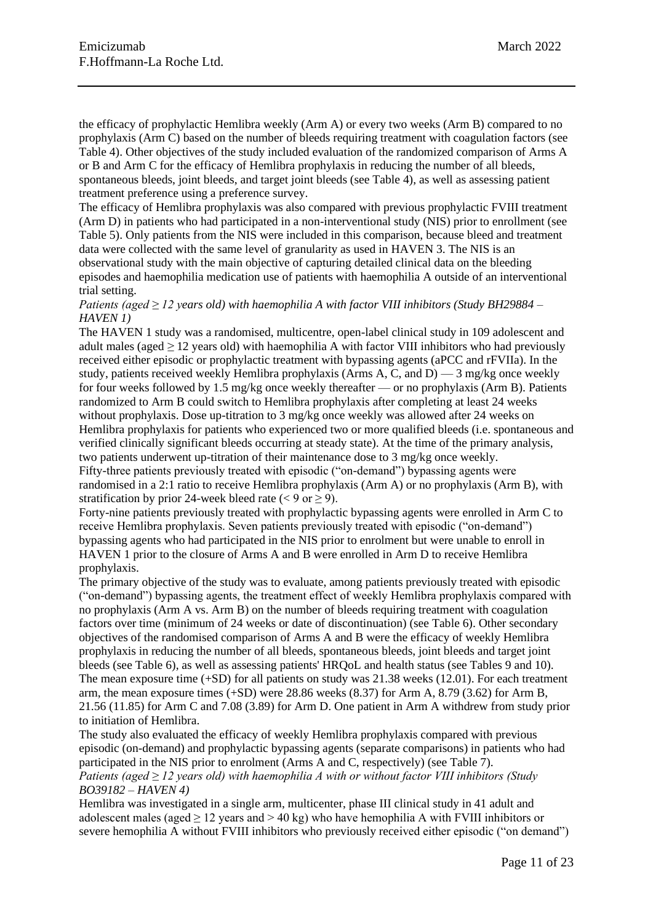the efficacy of prophylactic Hemlibra weekly (Arm A) or every two weeks (Arm B) compared to no prophylaxis (Arm C) based on the number of bleeds requiring treatment with coagulation factors (see Table 4). Other objectives of the study included evaluation of the randomized comparison of Arms A or B and Arm C for the efficacy of Hemlibra prophylaxis in reducing the number of all bleeds, spontaneous bleeds, joint bleeds, and target joint bleeds (see Table 4), as well as assessing patient treatment preference using a preference survey.

The efficacy of Hemlibra prophylaxis was also compared with previous prophylactic FVIII treatment (Arm D) in patients who had participated in a non-interventional study (NIS) prior to enrollment (see Table 5). Only patients from the NIS were included in this comparison, because bleed and treatment data were collected with the same level of granularity as used in HAVEN 3. The NIS is an observational study with the main objective of capturing detailed clinical data on the bleeding episodes and haemophilia medication use of patients with haemophilia A outside of an interventional trial setting.

*Patients (aged ≥ 12 years old) with haemophilia A with factor VIII inhibitors (Study BH29884 – HAVEN 1)*

The HAVEN 1 study was a randomised, multicentre, open-label clinical study in 109 adolescent and adult males (aged *≥* 12 years old) with haemophilia A with factor VIII inhibitors who had previously received either episodic or prophylactic treatment with bypassing agents (aPCC and rFVIIa). In the study, patients received weekly Hemlibra prophylaxis (Arms A, C, and D)  $-3$  mg/kg once weekly for four weeks followed by 1.5 mg/kg once weekly thereafter — or no prophylaxis (Arm B). Patients randomized to Arm B could switch to Hemlibra prophylaxis after completing at least 24 weeks without prophylaxis. Dose up-titration to 3 mg/kg once weekly was allowed after 24 weeks on Hemlibra prophylaxis for patients who experienced two or more qualified bleeds (i.e. spontaneous and verified clinically significant bleeds occurring at steady state). At the time of the primary analysis, two patients underwent up-titration of their maintenance dose to 3 mg/kg once weekly. Fifty-three patients previously treated with episodic ("on-demand") bypassing agents were randomised in a 2:1 ratio to receive Hemlibra prophylaxis (Arm A) or no prophylaxis (Arm B), with stratification by prior 24-week bleed rate  $(< 9 \text{ or } > 9)$ .

Forty-nine patients previously treated with prophylactic bypassing agents were enrolled in Arm C to receive Hemlibra prophylaxis. Seven patients previously treated with episodic ("on-demand") bypassing agents who had participated in the NIS prior to enrolment but were unable to enroll in HAVEN 1 prior to the closure of Arms A and B were enrolled in Arm D to receive Hemlibra prophylaxis.

The primary objective of the study was to evaluate, among patients previously treated with episodic ("on-demand") bypassing agents, the treatment effect of weekly Hemlibra prophylaxis compared with no prophylaxis (Arm A vs. Arm B) on the number of bleeds requiring treatment with coagulation factors over time (minimum of 24 weeks or date of discontinuation) (see Table 6). Other secondary objectives of the randomised comparison of Arms A and B were the efficacy of weekly Hemlibra prophylaxis in reducing the number of all bleeds, spontaneous bleeds, joint bleeds and target joint bleeds (see Table 6), as well as assessing patients' HRQoL and health status (see Tables 9 and 10). The mean exposure time (+SD) for all patients on study was 21.38 weeks (12.01). For each treatment arm, the mean exposure times (+SD) were 28.86 weeks (8.37) for Arm A, 8.79 (3.62) for Arm B, 21.56 (11.85) for Arm C and 7.08 (3.89) for Arm D. One patient in Arm A withdrew from study prior to initiation of Hemlibra.

The study also evaluated the efficacy of weekly Hemlibra prophylaxis compared with previous episodic (on-demand) and prophylactic bypassing agents (separate comparisons) in patients who had participated in the NIS prior to enrolment (Arms A and C, respectively) (see Table 7). *Patients (aged ≥ 12 years old) with haemophilia A with or without factor VIII inhibitors (Study BO39182 – HAVEN 4)*

Hemlibra was investigated in a single arm, multicenter, phase III clinical study in 41 adult and adolescent males (aged  $\geq 12$  years and  $> 40$  kg) who have hemophilia A with FVIII inhibitors or severe hemophilia A without FVIII inhibitors who previously received either episodic ("on demand")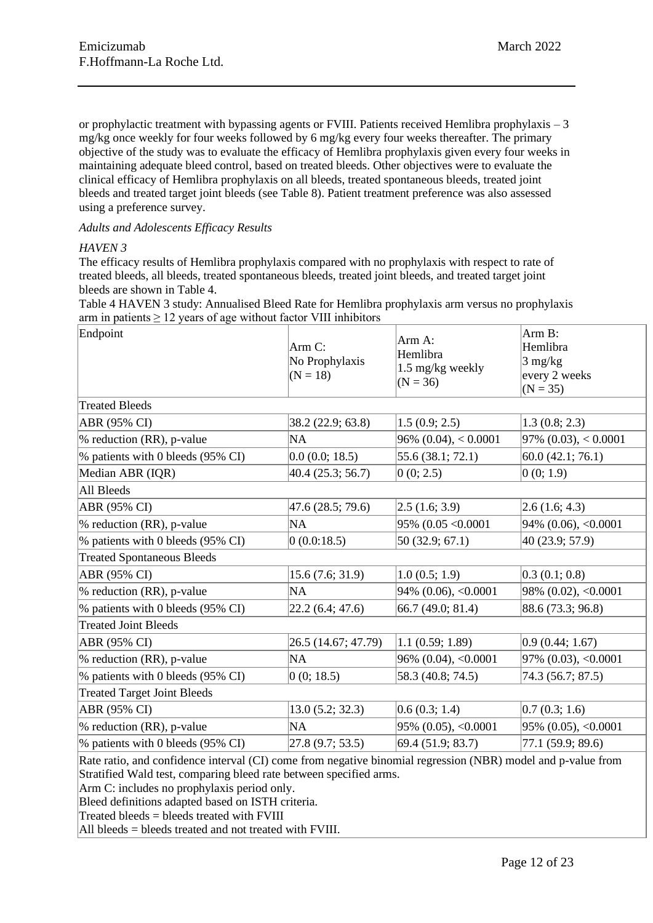or prophylactic treatment with bypassing agents or FVIII. Patients received Hemlibra prophylaxis – 3 mg/kg once weekly for four weeks followed by 6 mg/kg every four weeks thereafter. The primary objective of the study was to evaluate the efficacy of Hemlibra prophylaxis given every four weeks in maintaining adequate bleed control, based on treated bleeds. Other objectives were to evaluate the clinical efficacy of Hemlibra prophylaxis on all bleeds, treated spontaneous bleeds, treated joint bleeds and treated target joint bleeds (see Table 8). Patient treatment preference was also assessed using a preference survey.

*Adults and Adolescents Efficacy Results*

### *HAVEN 3*

The efficacy results of Hemlibra prophylaxis compared with no prophylaxis with respect to rate of treated bleeds, all bleeds, treated spontaneous bleeds, treated joint bleeds, and treated target joint bleeds are shown in Table 4.

Table 4 HAVEN 3 study: Annualised Bleed Rate for Hemlibra prophylaxis arm versus no prophylaxis arm in patients  $\geq 12$  years of age without factor VIII inhibitors

| Endpoint                                                                                                                                                                           | Arm C:<br>No Prophylaxis<br>$(N = 18)$ | Arm A:<br>Hemlibra<br>1.5 mg/kg weekly<br>$(N = 36)$ | Arm B:<br>Hemlibra<br>$3$ mg/kg<br>every 2 weeks<br>$(N = 35)$ |  |
|------------------------------------------------------------------------------------------------------------------------------------------------------------------------------------|----------------------------------------|------------------------------------------------------|----------------------------------------------------------------|--|
| <b>Treated Bleeds</b>                                                                                                                                                              |                                        |                                                      |                                                                |  |
| ABR (95% CI)                                                                                                                                                                       | 38.2 (22.9; 63.8)                      | 1.5(0.9; 2.5)                                        | 1.3(0.8; 2.3)                                                  |  |
| $\%$ reduction (RR), p-value                                                                                                                                                       | NA                                     | $96\% (0.04)$ , < 0.0001                             | $97\%$ (0.03), < 0.0001                                        |  |
| % patients with 0 bleeds (95% CI)                                                                                                                                                  | 0.0(0.0; 18.5)                         | 55.6 (38.1; 72.1)                                    | 60.0(42.1; 76.1)                                               |  |
| Median ABR (IQR)                                                                                                                                                                   | 40.4 (25.3; 56.7)                      | 0(0; 2.5)                                            | 0(0; 1.9)                                                      |  |
| All Bleeds                                                                                                                                                                         |                                        |                                                      |                                                                |  |
| ABR (95% CI)                                                                                                                                                                       | 47.6 (28.5; 79.6)                      | [2.5 (1.6; 3.9)]                                     | 2.6(1.6; 4.3)                                                  |  |
| $\%$ reduction (RR), p-value                                                                                                                                                       | <b>NA</b>                              | $95\%$ (0.05 < 0.0001                                | $94\%$ (0.06), <0.0001                                         |  |
| % patients with 0 bleeds (95% CI)                                                                                                                                                  | 0(0.0:18.5)                            | 50 (32.9; 67.1)                                      | 40 (23.9; 57.9)                                                |  |
| <b>Treated Spontaneous Bleeds</b>                                                                                                                                                  |                                        |                                                      |                                                                |  |
| ABR (95% CI)                                                                                                                                                                       | 15.6(7.6; 31.9)                        | 1.0(0.5; 1.9)                                        | 0.3(0.1; 0.8)                                                  |  |
| $\%$ reduction (RR), p-value                                                                                                                                                       | <b>NA</b>                              | $94\%$ (0.06), <0.0001                               | $98\%$ (0.02), <0.0001                                         |  |
| % patients with 0 bleeds (95% CI)                                                                                                                                                  | [22.2 (6.4; 47.6)]                     | 66.7 (49.0; 81.4)                                    | 88.6 (73.3; 96.8)                                              |  |
| <b>Treated Joint Bleeds</b>                                                                                                                                                        |                                        |                                                      |                                                                |  |
| ABR (95% CI)                                                                                                                                                                       | 26.5 (14.67; 47.79)                    | 1.1(0.59; 1.89)                                      | 0.9(0.44; 1.67)                                                |  |
| $\%$ reduction (RR), p-value                                                                                                                                                       | <b>NA</b>                              | $96\%$ (0.04), <0.0001                               | $97\%$ (0.03), <0.0001                                         |  |
| % patients with 0 bleeds (95% CI)                                                                                                                                                  | 0(0; 18.5)                             | 58.3 (40.8; 74.5)                                    | 74.3 (56.7; 87.5)                                              |  |
| <b>Treated Target Joint Bleeds</b>                                                                                                                                                 |                                        |                                                      |                                                                |  |
| ABR (95% CI)                                                                                                                                                                       | 13.0(5.2; 32.3)                        | 0.6(0.3; 1.4)                                        | 0.7(0.3; 1.6)                                                  |  |
| $\%$ reduction (RR), p-value                                                                                                                                                       | <b>NA</b>                              | $ 95\% (0.05), <0.0001$                              | $95\%$ (0.05), <0.0001                                         |  |
| % patients with 0 bleeds (95% CI)                                                                                                                                                  | 27.8(9.7; 53.5)                        | 69.4(51.9; 83.7)                                     | 77.1 (59.9; 89.6)                                              |  |
| Rate ratio, and confidence interval (CI) come from negative binomial regression (NBR) model and p-value from<br>Stratified Wald test, comparing bleed rate between specified arms. |                                        |                                                      |                                                                |  |

Arm C: includes no prophylaxis period only.

Bleed definitions adapted based on ISTH criteria.

 $Treated\n *beeds* = *beeds treated with*  $FVIII$$ 

All bleeds = bleeds treated and not treated with FVIII.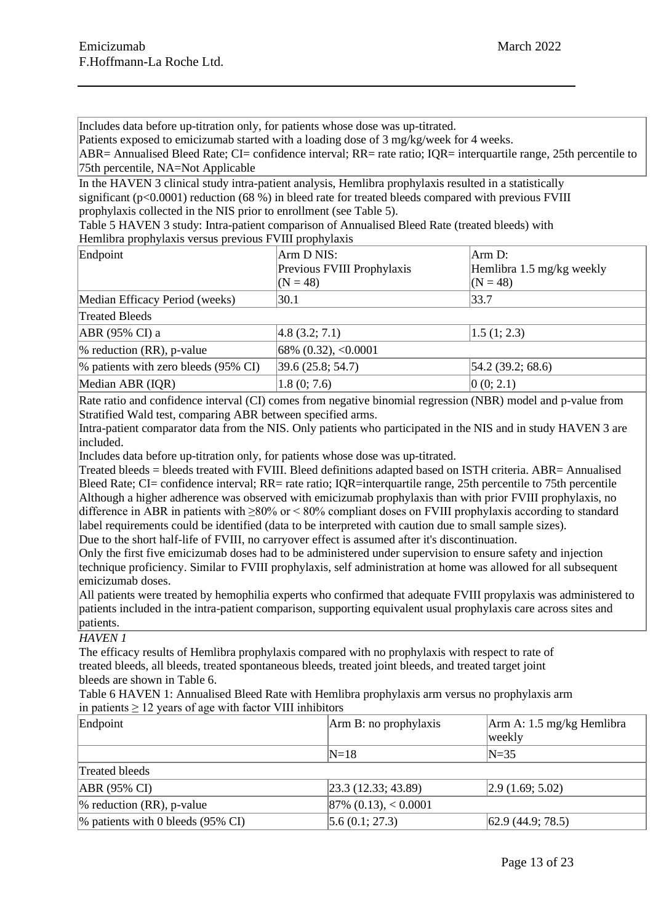Includes data before up-titration only, for patients whose dose was up-titrated.

Patients exposed to emicizumab started with a loading dose of 3 mg/kg/week for 4 weeks.

ABR= Annualised Bleed Rate; CI= confidence interval; RR= rate ratio; IQR= interquartile range, 25th percentile to 75th percentile, NA=Not Applicable

In the HAVEN 3 clinical study intra-patient analysis, Hemlibra prophylaxis resulted in a statistically significant (p<0.0001) reduction (68 %) in bleed rate for treated bleeds compared with previous FVIII prophylaxis collected in the NIS prior to enrollment (see Table 5).

Table 5 HAVEN 3 study: Intra-patient comparison of Annualised Bleed Rate (treated bleeds) with Hemlibra prophylaxis versus previous FVIII prophylaxis

| Endpoint                                | Arm D NIS:                 | Arm D:                    |
|-----------------------------------------|----------------------------|---------------------------|
|                                         | Previous FVIII Prophylaxis | Hemlibra 1.5 mg/kg weekly |
|                                         | $(N = 48)$                 | $(N = 48)$                |
| Median Efficacy Period (weeks)          | 30.1                       | 33.7                      |
| <b>Treated Bleeds</b>                   |                            |                           |
| ABR (95% CI) a                          | 4.8 (3.2; 7.1)             | 1.5(1; 2.3)               |
| $\%$ reduction (RR), p-value            | $68\%$ (0.32), <0.0001     |                           |
| $\%$ patients with zero bleeds (95% CI) | 39.6(25.8; 54.7)           | [54.2 (39.2; 68.6)]       |
| Median ABR (IQR)                        | 1.8(0; 7.6)                | 0(0; 2.1)                 |

Rate ratio and confidence interval (CI) comes from negative binomial regression (NBR) model and p-value from Stratified Wald test, comparing ABR between specified arms.

Intra-patient comparator data from the NIS. Only patients who participated in the NIS and in study HAVEN 3 are included.

Includes data before up-titration only, for patients whose dose was up-titrated.

Treated bleeds = bleeds treated with FVIII. Bleed definitions adapted based on ISTH criteria. ABR= Annualised Bleed Rate; CI= confidence interval; RR= rate ratio; IQR=interquartile range, 25th percentile to 75th percentile Although a higher adherence was observed with emicizumab prophylaxis than with prior FVIII prophylaxis, no difference in ABR in patients with ≥80% or < 80% compliant doses on FVIII prophylaxis according to standard label requirements could be identified (data to be interpreted with caution due to small sample sizes).

Due to the short half-life of FVIII, no carryover effect is assumed after it's discontinuation.

Only the first five emicizumab doses had to be administered under supervision to ensure safety and injection technique proficiency. Similar to FVIII prophylaxis, self administration at home was allowed for all subsequent emicizumab doses.

All patients were treated by hemophilia experts who confirmed that adequate FVIII propylaxis was administered to patients included in the intra-patient comparison, supporting equivalent usual prophylaxis care across sites and patients.

# *HAVEN 1*

The efficacy results of Hemlibra prophylaxis compared with no prophylaxis with respect to rate of treated bleeds, all bleeds, treated spontaneous bleeds, treated joint bleeds, and treated target joint bleeds are shown in Table 6.

#### Table 6 HAVEN 1: Annualised Bleed Rate with Hemlibra prophylaxis arm versus no prophylaxis arm in patients ≥ 12 years of age with factor VIII inhibitors

| Endpoint                             | Arm B: no prophylaxis      | Arm A: 1.5 mg/kg Hemlibra<br>weekly |
|--------------------------------------|----------------------------|-------------------------------------|
|                                      | $N=18$                     | $N=35$                              |
| Treated bleeds                       |                            |                                     |
| $ABR (95\% CI)$                      | [23.3 (12.33; 43.89)]      | $\left 2.9\right(1.69; 5.02\right)$ |
| $\%$ reduction (RR), p-value         | $ 87\% \ (0.13), < 0.0001$ |                                     |
| $\%$ patients with 0 bleeds (95% CI) | 5.6(0.1; 27.3)             | $ 62.9 \ (44.9; 78.5)$              |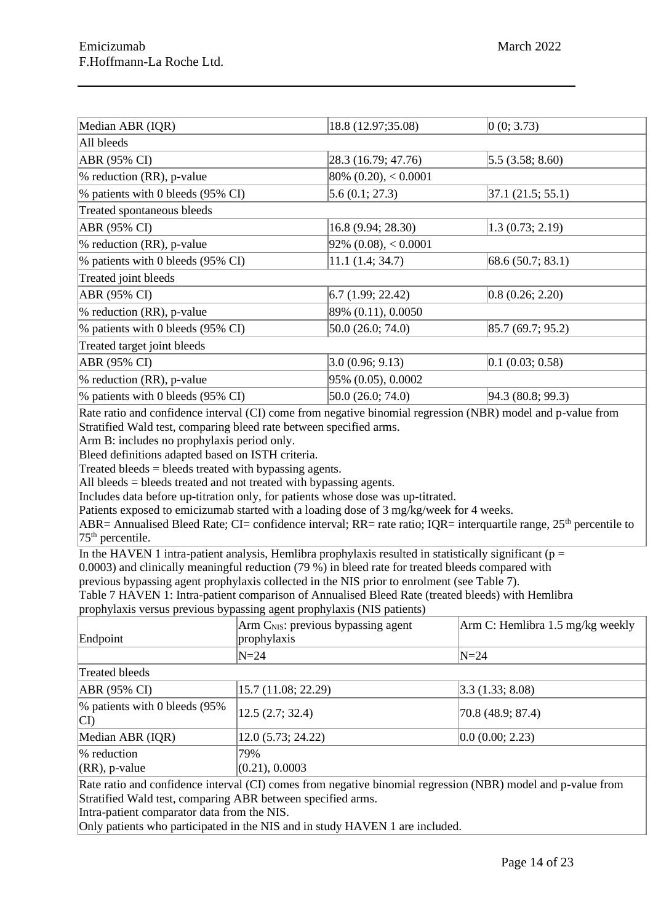| Median ABR (IQR)                     | 18.8 (12.97;35.08)                 | 0(0; 3.73)             |
|--------------------------------------|------------------------------------|------------------------|
| All bleeds                           |                                    |                        |
| ABR (95% CI)                         | 28.3 (16.79; 47.76)                | $ 5.5 \, (3.58; 8.60)$ |
| $\%$ reduction (RR), p-value         | $ 80\% \ (0.20), < 0.0001$         |                        |
| % patients with 0 bleeds (95% CI)    | 5.6(0.1; 27.3)                     | $ 37.1 \ (21.5; 55.1)$ |
| Treated spontaneous bleeds           |                                    |                        |
| ABR (95% CI)                         | 16.8 (9.94; 28.30)                 | 1.3(0.73; 2.19)        |
| $\%$ reduction (RR), p-value         | $92\%$ (0.08), < 0.0001            |                        |
| $\%$ patients with 0 bleeds (95% CI) | 11.1(1.4; 34.7)                    | 68.6(50.7; 83.1)       |
| Treated joint bleeds                 |                                    |                        |
| ABR (95% CI)                         | $\vert 6.7 \, (1.99; 22.42) \vert$ | 0.8(0.26; 2.20)        |
| $\%$ reduction (RR), p-value         | 89% (0.11), 0.0050                 |                        |
| % patients with 0 bleeds (95% CI)    | 50.0(26.0; 74.0)                   | 85.7(69.7; 95.2)       |
| Treated target joint bleeds          |                                    |                        |
| ABR (95% CI)                         | 3.0(0.96; 9.13)                    | $ 0.1 \ (0.03; 0.58)$  |
| $\%$ reduction (RR), p-value         | 95% (0.05), 0.0002                 |                        |
| % patients with 0 bleeds (95% CI)    | 50.0 (26.0; 74.0)                  | 94.3 (80.8; 99.3)      |
|                                      |                                    |                        |

Rate ratio and confidence interval (CI) come from negative binomial regression (NBR) model and p-value from Stratified Wald test, comparing bleed rate between specified arms.

Arm B: includes no prophylaxis period only.

Bleed definitions adapted based on ISTH criteria.

Treated bleeds = bleeds treated with bypassing agents.

All bleeds = bleeds treated and not treated with bypassing agents.

Includes data before up-titration only, for patients whose dose was up-titrated.

Patients exposed to emicizumab started with a loading dose of 3 mg/kg/week for 4 weeks.

 $ABR=$  Annualised Bleed Rate; CI= confidence interval; RR= rate ratio; IOR= interquartile range, 25<sup>th</sup> percentile to  $75<sup>th</sup>$  percentile.

In the HAVEN 1 intra-patient analysis, Hemlibra prophylaxis resulted in statistically significant ( $p =$ 0.0003) and clinically meaningful reduction (79 %) in bleed rate for treated bleeds compared with

previous bypassing agent prophylaxis collected in the NIS prior to enrolment (see Table 7).

Table 7 HAVEN 1: Intra-patient comparison of Annualised Bleed Rate (treated bleeds) with Hemlibra prophylaxis versus previous bypassing agent prophylaxis (NIS patients)

| r - - r -- <i>j -</i> --- -              |                                                      |                                   |
|------------------------------------------|------------------------------------------------------|-----------------------------------|
| Endpoint                                 | $Arm CNIS$ : previous bypassing agent<br>prophylaxis | Arm C: Hemlibra 1.5 mg/kg weekly  |
|                                          | $N=24$                                               | $N=24$                            |
| Treated bleeds                           |                                                      |                                   |
| ABR (95% CI)                             | 15.7 (11.08; 22.29)                                  | $\vert 3.3 \, (1.33; 8.08) \vert$ |
| $\%$ patients with 0 bleeds (95%)<br> CD | 12.5(2.7; 32.4)                                      | $ 70.8 \ (48.9; 87.4)$            |
| Median ABR (IQR)                         | 12.0(5.73; 24.22)                                    | 0.0(0.00; 2.23)                   |
| % reduction<br>$(RR)$ , p-value          | 79%<br>(0.21), 0.0003                                |                                   |

Rate ratio and confidence interval (CI) comes from negative binomial regression (NBR) model and p-value from Stratified Wald test, comparing ABR between specified arms.

Intra-patient comparator data from the NIS.

Only patients who participated in the NIS and in study HAVEN 1 are included.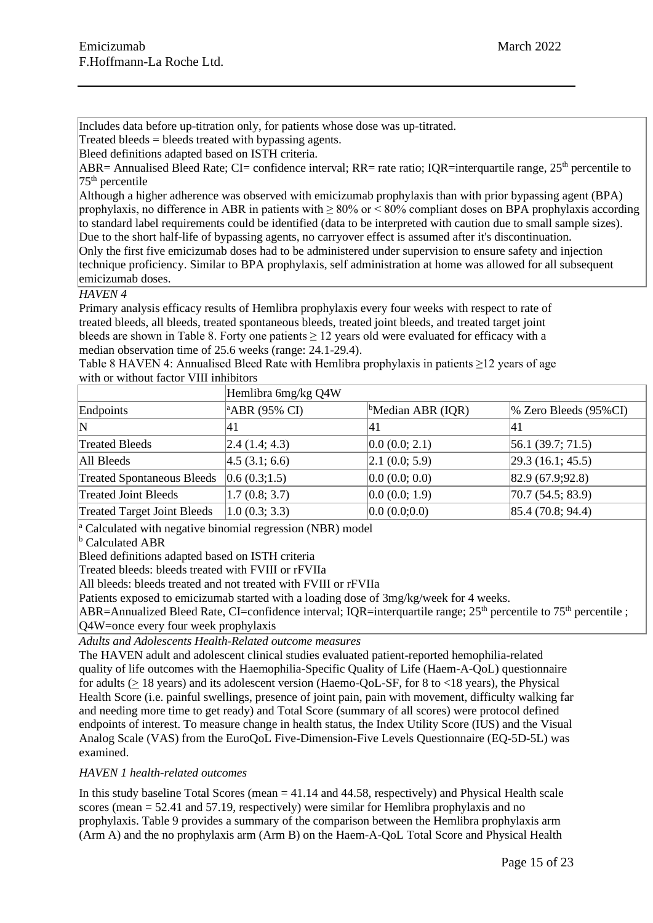Includes data before up-titration only, for patients whose dose was up-titrated.

Treated bleeds  $=$  bleeds treated with bypassing agents.

Bleed definitions adapted based on ISTH criteria.

ABR= Annualised Bleed Rate; CI= confidence interval; RR= rate ratio; IOR=interquartile range,  $25<sup>th</sup>$  percentile to  $75<sup>th</sup>$  percentile

Although a higher adherence was observed with emicizumab prophylaxis than with prior bypassing agent (BPA) prophylaxis, no difference in ABR in patients with ≥ 80% or < 80% compliant doses on BPA prophylaxis according to standard label requirements could be identified (data to be interpreted with caution due to small sample sizes). Due to the short half-life of bypassing agents, no carryover effect is assumed after it's discontinuation. Only the first five emicizumab doses had to be administered under supervision to ensure safety and injection technique proficiency. Similar to BPA prophylaxis, self administration at home was allowed for all subsequent emicizumab doses.

### *HAVEN 4*

Primary analysis efficacy results of Hemlibra prophylaxis every four weeks with respect to rate of treated bleeds, all bleeds, treated spontaneous bleeds, treated joint bleeds, and treated target joint bleeds are shown in Table 8. Forty one patients  $\geq 12$  years old were evaluated for efficacy with a median observation time of 25.6 weeks (range: 24.1-29.4).

Table 8 HAVEN 4: Annualised Bleed Rate with Hemlibra prophylaxis in patients ≥12 years of age with or without factor VIII inhibitors

|                                    | Hemlibra 6mg/kg Q4W       |                               |                          |
|------------------------------------|---------------------------|-------------------------------|--------------------------|
| Endpoints                          | <sup>a</sup> ABR (95% CI) | <sup>b</sup> Median ABR (IQR) | $\%$ Zero Bleeds (95%CI) |
| $\mathbf N$                        | 41                        | 14 I                          | 41                       |
| <b>Treated Bleeds</b>              | 2.4(1.4; 4.3)             | 0.0(0.0; 2.1)                 | $ 56.1 \, (39.7; 71.5)$  |
| All Bleeds                         | 4.5 (3.1; 6.6)            | 2.1(0.0; 5.9)                 | [29.3 (16.1; 45.5)]      |
| <b>Treated Spontaneous Bleeds</b>  | 0.6(0.3;1.5)              | 0.0(0.0; 0.0)                 | 82.9(67.9;92.8)          |
| <b>Treated Joint Bleeds</b>        | 1.7(0.8; 3.7)             | 0.0(0.0; 1.9)                 | [70.7 (54.5; 83.9)]      |
| <b>Treated Target Joint Bleeds</b> | 1.0(0.3; 3.3)             | 0.0(0.0;0.0)                  | 85.4(70.8; 94.4)         |

 $\alpha$  Calculated with negative binomial regression (NBR) model

 $\overline{b}$  Calculated ABR

Bleed definitions adapted based on ISTH criteria

Treated bleeds: bleeds treated with FVIII or rFVIIa

All bleeds: bleeds treated and not treated with FVIII or rFVIIa

Patients exposed to emicizumab started with a loading dose of 3mg/kg/week for 4 weeks.

ABR=Annualized Bleed Rate, CI=confidence interval; IOR=interquartile range;  $25<sup>th</sup>$  percentile to  $75<sup>th</sup>$  percentile ; Q4W=once every four week prophylaxis

*Adults and Adolescents Health-Related outcome measures*

The HAVEN adult and adolescent clinical studies evaluated patient-reported hemophilia-related quality of life outcomes with the Haemophilia-Specific Quality of Life (Haem-A-QoL) questionnaire for adults (> 18 years) and its adolescent version (Haemo-QoL-SF, for 8 to <18 years), the Physical Health Score (i.e. painful swellings, presence of joint pain, pain with movement, difficulty walking far and needing more time to get ready) and Total Score (summary of all scores) were protocol defined endpoints of interest. To measure change in health status, the Index Utility Score (IUS) and the Visual Analog Scale (VAS) from the EuroQoL Five-Dimension-Five Levels Questionnaire (EQ-5D-5L) was examined.

# *HAVEN 1 health-related outcomes*

In this study baseline Total Scores (mean  $=$  41.14 and 44.58, respectively) and Physical Health scale scores (mean = 52.41 and 57.19, respectively) were similar for Hemlibra prophylaxis and no prophylaxis. Table 9 provides a summary of the comparison between the Hemlibra prophylaxis arm (Arm A) and the no prophylaxis arm (Arm B) on the Haem-A-QoL Total Score and Physical Health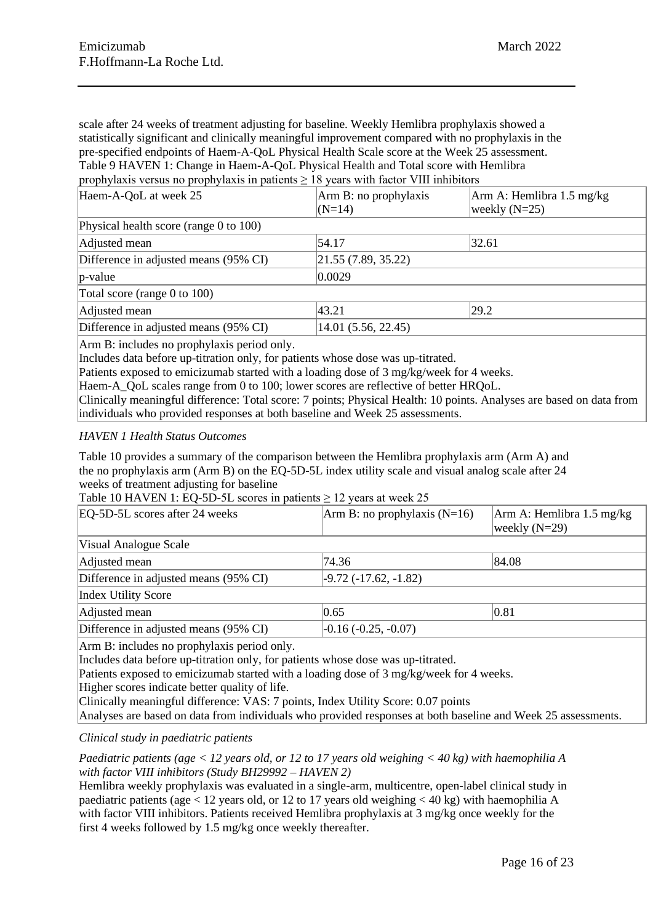scale after 24 weeks of treatment adjusting for baseline. Weekly Hemlibra prophylaxis showed a statistically significant and clinically meaningful improvement compared with no prophylaxis in the pre-specified endpoints of Haem-A-QoL Physical Health Scale score at the Week 25 assessment. Table 9 HAVEN 1: Change in Haem-A-QoL Physical Health and Total score with Hemlibra prophylaxis versus no prophylaxis in patients  $\geq 18$  years with factor VIII inhibitors

| Haem-A-QoL at week 25                     | Arm B: no prophylaxis | Arm A: Hemlibra 1.5 mg/kg |  |
|-------------------------------------------|-----------------------|---------------------------|--|
|                                           | $(N=14)$              | weekly $(N=25)$           |  |
| Physical health score (range 0 to $100$ ) |                       |                           |  |
| Adjusted mean                             | 54.17                 | 32.61                     |  |
| Difference in adjusted means (95% CI)     | 21.55(7.89, 35.22)    |                           |  |
| $ p-value $                               | $ 0.0029\rangle$      |                           |  |
| Total score (range 0 to 100)              |                       |                           |  |
| Adjusted mean                             | 43.21                 | 29.2                      |  |
| Difference in adjusted means (95% CI)     | 14.01(5.56, 22.45)    |                           |  |

Arm B: includes no prophylaxis period only.

Includes data before up-titration only, for patients whose dose was up-titrated.

Patients exposed to emicizumab started with a loading dose of 3 mg/kg/week for 4 weeks.

Haem-A QoL scales range from 0 to 100; lower scores are reflective of better HRQoL.

Clinically meaningful difference: Total score: 7 points; Physical Health: 10 points. Analyses are based on data from individuals who provided responses at both baseline and Week 25 assessments.

### *HAVEN 1 Health Status Outcomes*

Table 10 provides a summary of the comparison between the Hemlibra prophylaxis arm (Arm A) and the no prophylaxis arm (Arm B) on the EQ-5D-5L index utility scale and visual analog scale after 24 weeks of treatment adjusting for baseline

Table 10 HAVEN 1: EQ-5D-5L scores in patients  $\geq$  12 years at week 25

| EQ-5D-5L scores after 24 weeks                                            | Arm B: no prophylaxis $(N=16)$ | Arm A: Hemlibra 1.5 mg/kg<br>weekly $(N=29)$ |
|---------------------------------------------------------------------------|--------------------------------|----------------------------------------------|
| Visual Analogue Scale                                                     |                                |                                              |
| Adjusted mean                                                             | 74.36                          | 84.08                                        |
| Difference in adjusted means (95% CI)                                     | $-9.72(-17.62,-1.82)$          |                                              |
| Index Utility Score                                                       |                                |                                              |
| Adjusted mean                                                             | 0.65                           | 0.81                                         |
| Difference in adjusted means (95% CI)                                     | $-0.16(-0.25, -0.07)$          |                                              |
| $\Lambda$ and $\mathbf{D}$ included no needs interior neglector $\Lambda$ |                                |                                              |

Arm B: includes no prophylaxis period only.

Includes data before up-titration only, for patients whose dose was up-titrated.

Patients exposed to emicizumab started with a loading dose of 3 mg/kg/week for 4 weeks.

Higher scores indicate better quality of life.

Clinically meaningful difference: VAS: 7 points, Index Utility Score: 0.07 points

Analyses are based on data from individuals who provided responses at both baseline and Week 25 assessments.

### *Clinical study in paediatric patients*

*Paediatric patients (age < 12 years old, or 12 to 17 years old weighing < 40 kg) with haemophilia A with factor VIII inhibitors (Study BH29992 – HAVEN 2)*

Hemlibra weekly prophylaxis was evaluated in a single-arm, multicentre, open-label clinical study in paediatric patients (age < 12 years old, or 12 to 17 years old weighing < 40 kg) with haemophilia A with factor VIII inhibitors. Patients received Hemlibra prophylaxis at 3 mg/kg once weekly for the first 4 weeks followed by 1.5 mg/kg once weekly thereafter.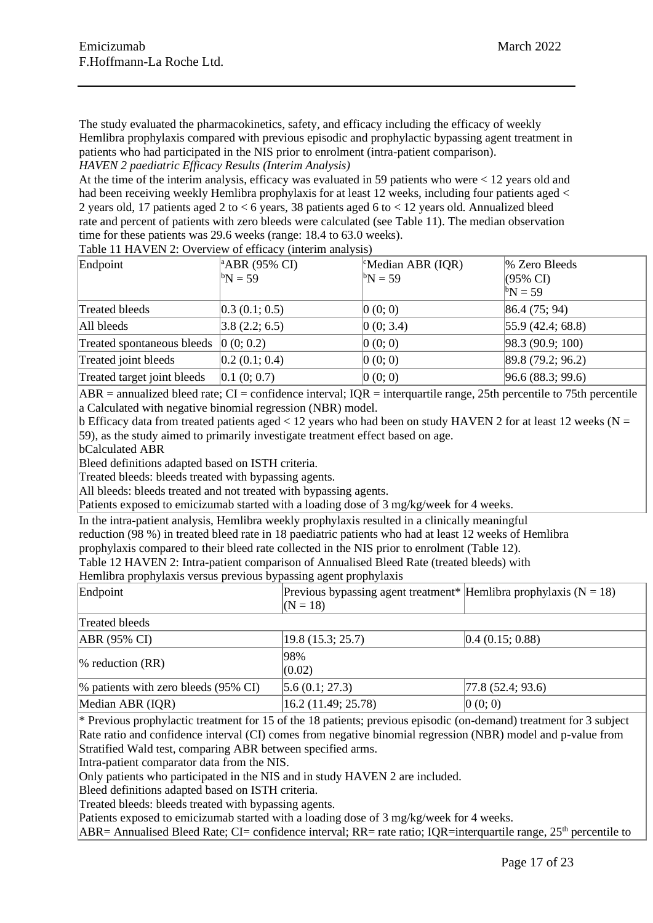The study evaluated the pharmacokinetics, safety, and efficacy including the efficacy of weekly Hemlibra prophylaxis compared with previous episodic and prophylactic bypassing agent treatment in patients who had participated in the NIS prior to enrolment (intra-patient comparison).

*HAVEN 2 paediatric Efficacy Results (Interim Analysis)*

At the time of the interim analysis, efficacy was evaluated in 59 patients who were < 12 years old and had been receiving weekly Hemlibra prophylaxis for at least 12 weeks, including four patients aged  $\lt$ 2 years old, 17 patients aged 2 to < 6 years, 38 patients aged 6 to < 12 years old. Annualized bleed rate and percent of patients with zero bleeds were calculated (see Table 11). The median observation time for these patients was 29.6 weeks (range: 18.4 to 63.0 weeks).

Table 11 HAVEN 2: Overview of efficacy (interim analysis)

| Endpoint                    | $^{\circ}$ ABR (95% CI)<br>${}^{b}N = 59$ | <sup>c</sup> Median ABR (IQR)<br>$\rm ^{b}N = 59$ | % Zero Bleeds<br>$(95\% \text{ CI})$<br>${}^{b}N = 59$ |
|-----------------------------|-------------------------------------------|---------------------------------------------------|--------------------------------------------------------|
| Treated bleeds              | 0.3(0.1; 0.5)                             | 0(0; 0)                                           | 86.4(75; 94)                                           |
| All bleeds                  | 3.8(2.2; 6.5)                             | 0(0; 3.4)                                         | $ 55.9 \ (42.4; 68.8) $                                |
| Treated spontaneous bleeds  | 0(0; 0.2)                                 | 0(0;0)                                            | $ 98.3 \ (90.9; 100)$                                  |
| Treated joint bleeds        | 0.2(0.1; 0.4)                             | 0(0;0)                                            | 89.8(79.2; 96.2)                                       |
| Treated target joint bleeds | 0.1(0;0.7)                                | 0(0;0)                                            | 96.6(88.3; 99.6)                                       |

 $ABR =$  annualized bleed rate; CI = confidence interval; IOR = interquartile range, 25th percentile to 75th percentile a Calculated with negative binomial regression (NBR) model.

b Efficacy data from treated patients aged  $< 12$  years who had been on study HAVEN 2 for at least 12 weeks (N = 59), as the study aimed to primarily investigate treatment effect based on age.

bCalculated ABR

Bleed definitions adapted based on ISTH criteria.

Treated bleeds: bleeds treated with bypassing agents.

All bleeds: bleeds treated and not treated with bypassing agents.

Patients exposed to emicizumab started with a loading dose of 3 mg/kg/week for 4 weeks.

In the intra-patient analysis, Hemlibra weekly prophylaxis resulted in a clinically meaningful

reduction (98 %) in treated bleed rate in 18 paediatric patients who had at least 12 weeks of Hemlibra

prophylaxis compared to their bleed rate collected in the NIS prior to enrolment (Table 12).

Table 12 HAVEN 2: Intra-patient comparison of Annualised Bleed Rate (treated bleeds) with

Hemlibra prophylaxis versus previous bypassing agent prophylaxis

| Endpoint                                |  | Previous bypassing agent treatment* Hemlibra prophylaxis ( $N = 18$ ) |                  |  |  |
|-----------------------------------------|--|-----------------------------------------------------------------------|------------------|--|--|
|                                         |  | $(N = 18)$                                                            |                  |  |  |
| Treated bleeds                          |  |                                                                       |                  |  |  |
| $ABR (95\% CI)$                         |  | 19.8(15.3; 25.7)                                                      | 0.4(0.15; 0.88)  |  |  |
| $\%$ reduction (RR)                     |  | 98%                                                                   |                  |  |  |
|                                         |  | (0.02)                                                                |                  |  |  |
| $\%$ patients with zero bleeds (95% CI) |  | 5.6(0.1; 27.3)                                                        | 77.8(52.4; 93.6) |  |  |

 $*$  Previous prophylactic treatment for 15 of the 18 patients; previous episodic (on-demand) treatment for 3 subject Rate ratio and confidence interval (CI) comes from negative binomial regression (NBR) model and p-value from Stratified Wald test, comparing ABR between specified arms.

Intra-patient comparator data from the NIS.

Only patients who participated in the NIS and in study HAVEN 2 are included.

Bleed definitions adapted based on ISTH criteria.

Treated bleeds: bleeds treated with bypassing agents.

Patients exposed to emicizumab started with a loading dose of 3 mg/kg/week for 4 weeks.

Median ABR (IOR)  $16.2$  (11.49; 25.78)  $0$  (0; 0)

ABR= Annualised Bleed Rate; CI= confidence interval; RR= rate ratio; IQR=interquartile range,  $25<sup>th</sup>$  percentile to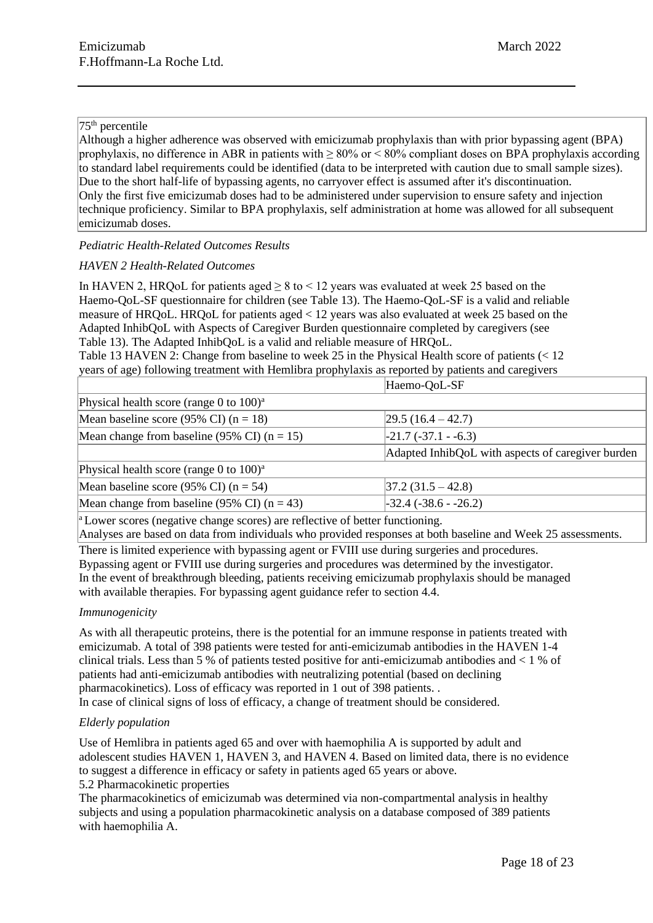# $75<sup>th</sup>$  percentile

Although a higher adherence was observed with emicizumab prophylaxis than with prior bypassing agent (BPA) prophylaxis, no difference in ABR in patients with ≥ 80% or < 80% compliant doses on BPA prophylaxis according to standard label requirements could be identified (data to be interpreted with caution due to small sample sizes). Due to the short half-life of bypassing agents, no carryover effect is assumed after it's discontinuation. Only the first five emicizumab doses had to be administered under supervision to ensure safety and injection technique proficiency. Similar to BPA prophylaxis, self administration at home was allowed for all subsequent emicizumab doses.

# *Pediatric Health-Related Outcomes Results*

# *HAVEN 2 Health-Related Outcomes*

In HAVEN 2, HROoL for patients aged  $> 8$  to  $< 12$  years was evaluated at week 25 based on the Haemo-QoL-SF questionnaire for children (see Table 13). The Haemo-QoL-SF is a valid and reliable measure of HRQoL. HRQoL for patients aged < 12 years was also evaluated at week 25 based on the Adapted InhibQoL with Aspects of Caregiver Burden questionnaire completed by caregivers (see Table 13). The Adapted InhibQoL is a valid and reliable measure of HRQoL.

Table 13 HAVEN 2: Change from baseline to week 25 in the Physical Health score of patients (< 12 years of age) following treatment with Hemlibra prophylaxis as reported by patients and caregivers

|                                                                                      | Haemo-QoL-SF                                      |  |
|--------------------------------------------------------------------------------------|---------------------------------------------------|--|
| Physical health score (range 0 to $100)^a$ )                                         |                                                   |  |
| Mean baseline score (95% CI) ( $n = 18$ )                                            | $ 29.5(16.4 - 42.7) $                             |  |
| Mean change from baseline (95% CI) ( $n = 15$ )                                      | $-21.7(-37.1 - 6.3)$                              |  |
|                                                                                      | Adapted InhibQoL with aspects of caregiver burden |  |
| Physical health score (range 0 to $100$ ) <sup>a</sup>                               |                                                   |  |
| Mean baseline score (95% CI) ( $n = 54$ )                                            | $ 37.2 \ (31.5 - 42.8) $                          |  |
| Mean change from baseline (95% CI) ( $n = 43$ )                                      | $-32.4(-38.6 - -26.2)$                            |  |
| $a \sim a$ at a second (positive change second) are reflective of better functioning |                                                   |  |

Lower scores (negative change scores) are reflective of better functioning.

Analyses are based on data from individuals who provided responses at both baseline and Week 25 assessments.

There is limited experience with bypassing agent or FVIII use during surgeries and procedures. Bypassing agent or FVIII use during surgeries and procedures was determined by the investigator. In the event of breakthrough bleeding, patients receiving emicizumab prophylaxis should be managed with available therapies. For bypassing agent guidance refer to section 4.4.

### *Immunogenicity*

As with all therapeutic proteins, there is the potential for an immune response in patients treated with emicizumab. A total of 398 patients were tested for anti-emicizumab antibodies in the HAVEN 1-4 clinical trials. Less than 5 % of patients tested positive for anti-emicizumab antibodies and < 1 % of patients had anti-emicizumab antibodies with neutralizing potential (based on declining pharmacokinetics). Loss of efficacy was reported in 1 out of 398 patients. . In case of clinical signs of loss of efficacy, a change of treatment should be considered.

# *Elderly population*

Use of Hemlibra in patients aged 65 and over with haemophilia A is supported by adult and adolescent studies HAVEN 1, HAVEN 3, and HAVEN 4. Based on limited data, there is no evidence to suggest a difference in efficacy or safety in patients aged 65 years or above. 5.2 Pharmacokinetic properties

The pharmacokinetics of emicizumab was determined via non-compartmental analysis in healthy subjects and using a population pharmacokinetic analysis on a database composed of 389 patients with haemophilia A.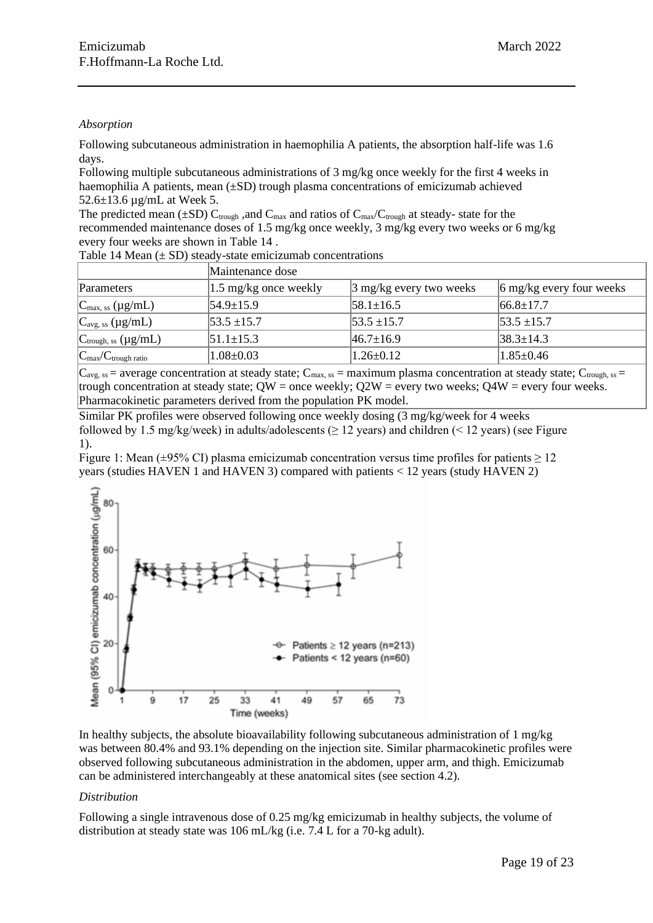### *Absorption*

Following subcutaneous administration in haemophilia A patients, the absorption half-life was 1.6 days.

Following multiple subcutaneous administrations of 3 mg/kg once weekly for the first 4 weeks in haemophilia A patients, mean ( $\pm SD$ ) trough plasma concentrations of emicizumab achieved 52.6±13.6 µg/mL at Week 5.

The predicted mean ( $\pm SD$ ) C<sub>trough</sub>, and C<sub>max</sub> and ratios of C<sub>max</sub>/C<sub>trough</sub> at steady- state for the recommended maintenance doses of 1.5 mg/kg once weekly, 3 mg/kg every two weeks or 6 mg/kg every four weeks are shown in Table 14 .

Table 14 Mean  $(\pm SD)$  steady-state emicizumab concentrations

|                                            | Maintenance dose      |                               |                                        |  |  |  |  |
|--------------------------------------------|-----------------------|-------------------------------|----------------------------------------|--|--|--|--|
| Parameters                                 | 1.5 mg/kg once weekly | $\beta$ mg/kg every two weeks | $\frac{1}{2}$ 6 mg/kg every four weeks |  |  |  |  |
| $C_{\text{max, ss}} (\mu g/mL)$            | $54.9 \pm 15.9$       | $ 58.1 \pm 16.5 $             | $ 66.8 \pm 17.7$                       |  |  |  |  |
| $C_{\text{avg, ss}} (\mu g/mL)$            | $153.5 \pm 15.7$      | $ 53.5 \pm 15.7 $             | $ 53.5 \pm 15.7$                       |  |  |  |  |
| $C_{\text{trough, ss}} (\mu g/mL)$         | $51.1 \pm 15.3$       | $ 46.7 \pm 16.9 $             | $ 38.3 \pm 14.3 $                      |  |  |  |  |
| $ C_{\text{max}}/C_{\text{trough ratio}} $ | $1.08 \pm 0.03$       | $1.26 \pm 0.12$               | $1.85 \pm 0.46$                        |  |  |  |  |

 $|C_{\text{avg, ss}}| =$  average concentration at steady state;  $C_{\text{max, ss}}$  = maximum plasma concentration at steady state;  $C_{\text{trough, ss}}$  = trough concentration at steady state;  $QW =$  once weekly;  $Q2W =$  every two weeks;  $Q4W =$  every four weeks. Pharmacokinetic parameters derived from the population PK model.

Similar PK profiles were observed following once weekly dosing (3 mg/kg/week for 4 weeks followed by 1.5 mg/kg/week) in adults/adolescents ( $> 12$  years) and children ( $< 12$  years) (see Figure 1).

Figure 1: Mean ( $\pm$ 95% CI) plasma emicizumab concentration versus time profiles for patients  $\geq$  12 years (studies HAVEN 1 and HAVEN 3) compared with patients < 12 years (study HAVEN 2)



In healthy subjects, the absolute bioavailability following subcutaneous administration of 1 mg/kg was between 80.4% and 93.1% depending on the injection site. Similar pharmacokinetic profiles were observed following subcutaneous administration in the abdomen, upper arm, and thigh. Emicizumab can be administered interchangeably at these anatomical sites (see section 4.2).

# *Distribution*

Following a single intravenous dose of 0.25 mg/kg emicizumab in healthy subjects, the volume of distribution at steady state was 106 mL/kg (i.e. 7.4 L for a 70-kg adult).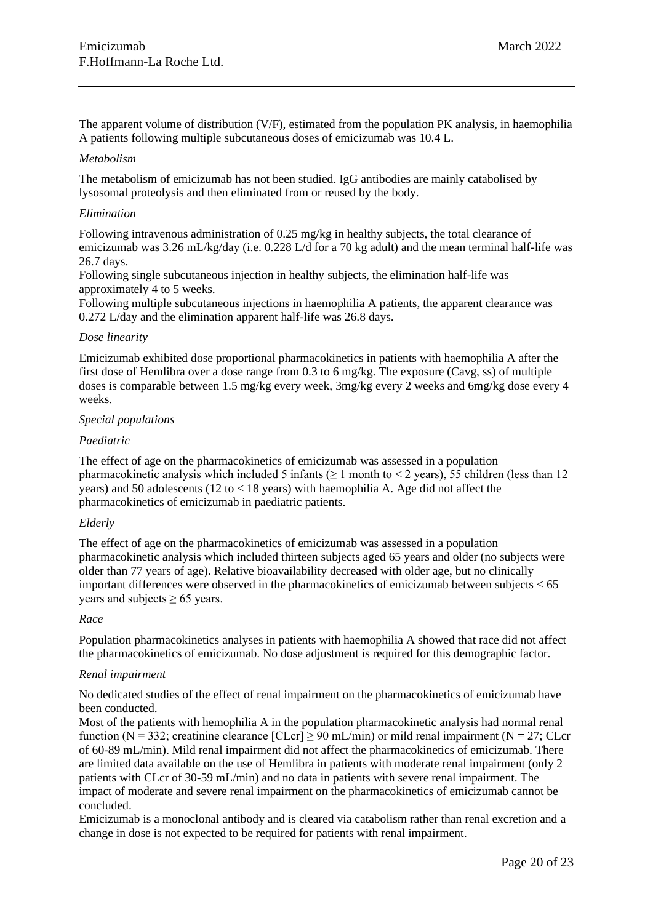The apparent volume of distribution (V/F), estimated from the population PK analysis, in haemophilia A patients following multiple subcutaneous doses of emicizumab was 10.4 L.

### *Metabolism*

The metabolism of emicizumab has not been studied. IgG antibodies are mainly catabolised by lysosomal proteolysis and then eliminated from or reused by the body.

### *Elimination*

Following intravenous administration of 0.25 mg/kg in healthy subjects, the total clearance of emicizumab was 3.26 mL/kg/day (i.e. 0.228 L/d for a 70 kg adult) and the mean terminal half-life was 26.7 days.

Following single subcutaneous injection in healthy subjects, the elimination half-life was approximately 4 to 5 weeks.

Following multiple subcutaneous injections in haemophilia A patients, the apparent clearance was 0.272 L/day and the elimination apparent half-life was 26.8 days.

### *Dose linearity*

Emicizumab exhibited dose proportional pharmacokinetics in patients with haemophilia A after the first dose of Hemlibra over a dose range from 0.3 to 6 mg/kg. The exposure (Cavg, ss) of multiple doses is comparable between 1.5 mg/kg every week, 3mg/kg every 2 weeks and 6mg/kg dose every 4 weeks.

### *Special populations*

### *Paediatric*

The effect of age on the pharmacokinetics of emicizumab was assessed in a population pharmacokinetic analysis which included 5 infants ( $> 1$  month to  $< 2$  years), 55 children (less than 12 years) and 50 adolescents (12 to  $<$  18 years) with haemophilia A. Age did not affect the pharmacokinetics of emicizumab in paediatric patients.

### *Elderly*

The effect of age on the pharmacokinetics of emicizumab was assessed in a population pharmacokinetic analysis which included thirteen subjects aged 65 years and older (no subjects were older than 77 years of age). Relative bioavailability decreased with older age, but no clinically important differences were observed in the pharmacokinetics of emicizumab between subjects < 65 years and subjects  $\geq 65$  years.

### *Race*

Population pharmacokinetics analyses in patients with haemophilia A showed that race did not affect the pharmacokinetics of emicizumab. No dose adjustment is required for this demographic factor.

### *Renal impairment*

No dedicated studies of the effect of renal impairment on the pharmacokinetics of emicizumab have been conducted.

Most of the patients with hemophilia A in the population pharmacokinetic analysis had normal renal function (N = 332; creatinine clearance  $[CLcr] \ge 90$  mL/min) or mild renal impairment (N = 27; CLcr of 60-89 mL/min). Mild renal impairment did not affect the pharmacokinetics of emicizumab. There are limited data available on the use of Hemlibra in patients with moderate renal impairment (only 2 patients with CLcr of 30-59 mL/min) and no data in patients with severe renal impairment. The impact of moderate and severe renal impairment on the pharmacokinetics of emicizumab cannot be concluded.

Emicizumab is a monoclonal antibody and is cleared via catabolism rather than renal excretion and a change in dose is not expected to be required for patients with renal impairment.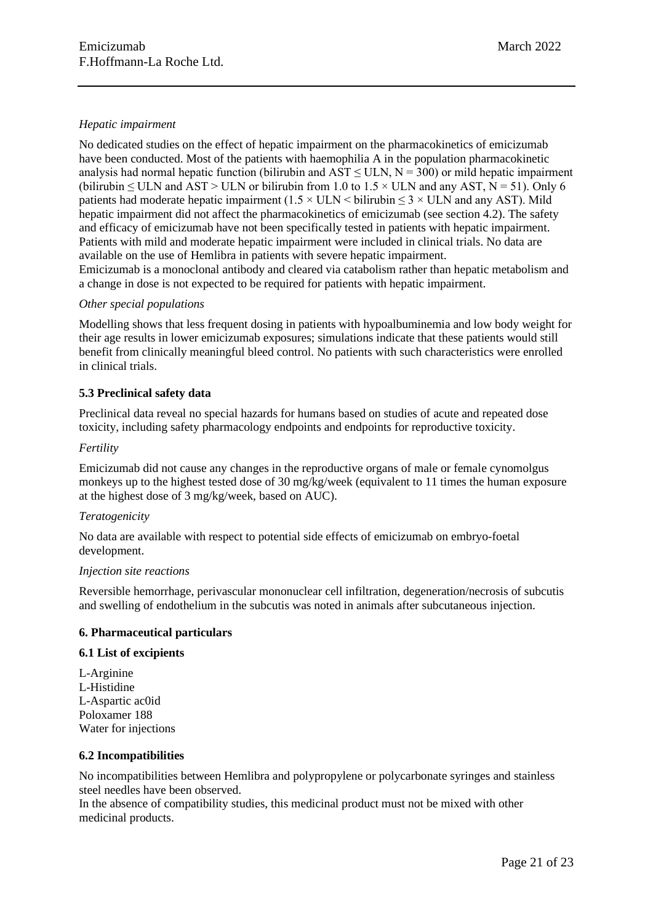### *Hepatic impairment*

No dedicated studies on the effect of hepatic impairment on the pharmacokinetics of emicizumab have been conducted. Most of the patients with haemophilia A in the population pharmacokinetic analysis had normal hepatic function (bilirubin and  $AST \leq ULN$ ,  $N = 300$ ) or mild hepatic impairment (bilirubin  $\leq$  ULN and AST > ULN or bilirubin from 1.0 to 1.5  $\times$  ULN and any AST, N = 51). Only 6 patients had moderate hepatic impairment (1.5  $\times$  ULN  $\lt$  bilirubin  $\lt$  3  $\times$  ULN and any AST). Mild hepatic impairment did not affect the pharmacokinetics of emicizumab (see section 4.2). The safety and efficacy of emicizumab have not been specifically tested in patients with hepatic impairment. Patients with mild and moderate hepatic impairment were included in clinical trials. No data are available on the use of Hemlibra in patients with severe hepatic impairment. Emicizumab is a monoclonal antibody and cleared via catabolism rather than hepatic metabolism and a change in dose is not expected to be required for patients with hepatic impairment.

### *Other special populations*

Modelling shows that less frequent dosing in patients with hypoalbuminemia and low body weight for their age results in lower emicizumab exposures; simulations indicate that these patients would still benefit from clinically meaningful bleed control. No patients with such characteristics were enrolled in clinical trials.

### **5.3 Preclinical safety data**

Preclinical data reveal no special hazards for humans based on studies of acute and repeated dose toxicity, including safety pharmacology endpoints and endpoints for reproductive toxicity.

### *Fertility*

Emicizumab did not cause any changes in the reproductive organs of male or female cynomolgus monkeys up to the highest tested dose of 30 mg/kg/week (equivalent to 11 times the human exposure at the highest dose of 3 mg/kg/week, based on AUC).

### *Teratogenicity*

No data are available with respect to potential side effects of emicizumab on embryo-foetal development.

### *Injection site reactions*

Reversible hemorrhage, perivascular mononuclear cell infiltration, degeneration/necrosis of subcutis and swelling of endothelium in the subcutis was noted in animals after subcutaneous injection.

### **6. Pharmaceutical particulars**

### **6.1 List of excipients**

L-Arginine L-Histidine L-Aspartic ac0id Poloxamer 188 Water for injections

### **6.2 Incompatibilities**

No incompatibilities between Hemlibra and polypropylene or polycarbonate syringes and stainless steel needles have been observed.

In the absence of compatibility studies, this medicinal product must not be mixed with other medicinal products.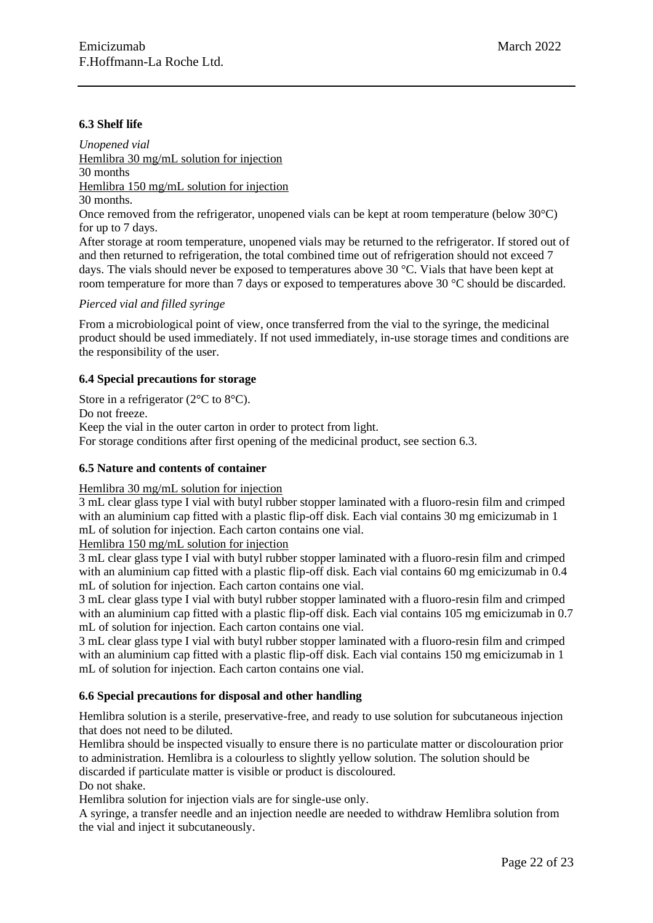### **6.3 Shelf life**

*Unopened vial* Hemlibra 30 mg/mL solution for injection 30 months Hemlibra 150 mg/mL solution for injection 30 months. Once removed from the refrigerator, unopened vials can be kept at room temperature (below 30°C) for up to 7 days.

After storage at room temperature, unopened vials may be returned to the refrigerator. If stored out of and then returned to refrigeration, the total combined time out of refrigeration should not exceed 7 days. The vials should never be exposed to temperatures above 30 °C. Vials that have been kept at room temperature for more than 7 days or exposed to temperatures above 30 °C should be discarded.

### *Pierced vial and filled syringe*

From a microbiological point of view, once transferred from the vial to the syringe, the medicinal product should be used immediately. If not used immediately, in-use storage times and conditions are the responsibility of the user.

#### **6.4 Special precautions for storage**

Store in a refrigerator (2<sup>o</sup>C to 8<sup>o</sup>C). Do not freeze. Keep the vial in the outer carton in order to protect from light. For storage conditions after first opening of the medicinal product, see section 6.3.

### **6.5 Nature and contents of container**

#### Hemlibra 30 mg/mL solution for injection

3 mL clear glass type I vial with butyl rubber stopper laminated with a fluoro-resin film and crimped with an aluminium cap fitted with a plastic flip-off disk. Each vial contains 30 mg emicizumab in 1 mL of solution for injection. Each carton contains one vial.

Hemlibra 150 mg/mL solution for injection

3 mL clear glass type I vial with butyl rubber stopper laminated with a fluoro-resin film and crimped with an aluminium cap fitted with a plastic flip-off disk. Each vial contains 60 mg emicizumab in 0.4 mL of solution for injection. Each carton contains one vial.

3 mL clear glass type I vial with butyl rubber stopper laminated with a fluoro-resin film and crimped with an aluminium cap fitted with a plastic flip-off disk. Each vial contains 105 mg emicizumab in 0.7 mL of solution for injection. Each carton contains one vial.

3 mL clear glass type I vial with butyl rubber stopper laminated with a fluoro-resin film and crimped with an aluminium cap fitted with a plastic flip-off disk. Each vial contains 150 mg emicizumab in 1 mL of solution for injection. Each carton contains one vial.

### **6.6 Special precautions for disposal and other handling**

Hemlibra solution is a sterile, preservative-free, and ready to use solution for subcutaneous injection that does not need to be diluted.

Hemlibra should be inspected visually to ensure there is no particulate matter or discolouration prior to administration. Hemlibra is a colourless to slightly yellow solution. The solution should be discarded if particulate matter is visible or product is discoloured.

Do not shake.

Hemlibra solution for injection vials are for single-use only.

A syringe, a transfer needle and an injection needle are needed to withdraw Hemlibra solution from the vial and inject it subcutaneously.